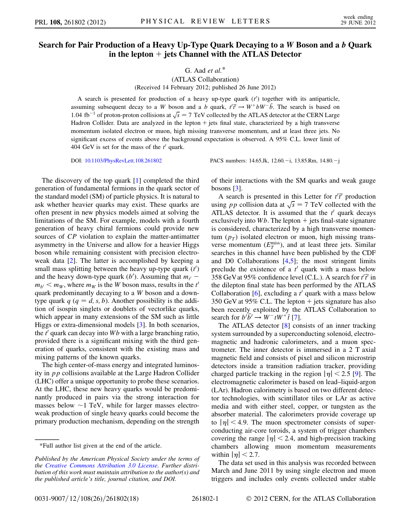## Search for Pair Production of a Heavy Up-Type Quark Decaying to a W Boson and a b Quark in the lepton  $+$  jets Channel with the ATLAS Detector

G. Aad  $et$  al. $*$ 

(ATLAS Collaboration) (Received 14 February 2012; published 26 June 2012)

A search is presented for production of a heavy up-type quark  $(t')$  together with its antiparticle, assuming subsequent decay to a W boson and a b quark,  $t^T t^T \rightarrow W^+ b W^- \bar{b}$ . The search is based on<br>1.04 ft = 1 of grates grates as lighter at  $\sqrt{2} = 7$  TeV sallested by the ATLAS detector at the CEDN Large 1.04 fb<sup>-1</sup> of proton-proton collisions at  $\sqrt{s} = 7$  TeV collected by the ATLAS detector at the CERN Large Hadron-Collider. Data are analyzed in the lepton + ists final state, characterized by a high transverse Hadron Collider. Data are analyzed in the lepton  $+$  jets final state, characterized by a high transverse momentum isolated electron or muon, high missing transverse momentum, and at least three jets. No significant excess of events above the background expectation is observed. A 95% C.L. lower limit of 404 GeV is set for the mass of the  $t'$  quark.

DOI: [10.1103/PhysRevLett.108.261802](http://dx.doi.org/10.1103/PhysRevLett.108.261802) PACS numbers: 14.65.Jk, 12.60. -i, 13.85.Rm, 14.80. -j

The discovery of the top quark [[1\]](#page-4-0) completed the third generation of fundamental fermions in the quark sector of the standard model (SM) of particle physics. It is natural to ask whether heavier quarks may exist. These quarks are often present in new physics models aimed at solving the limitations of the SM. For example, models with a fourth generation of heavy chiral fermions could provide new sources of CP violation to explain the matter-antimatter asymmetry in the Universe and allow for a heavier Higgs boson while remaining consistent with precision electroweak data [[2](#page-4-1)]. The latter is accomplished by keeping a small mass splitting between the heavy up-type quark  $(t')$ and the heavy down-type quark (b'). Assuming that  $m_{t'}$  –  $m_{b'} < m_W$ , where  $m_W$  is the W boson mass, results in the t<sup>t</sup> quark predominantly decaying to a W boson and a downtype quark  $q$  ( $q = d, s, b$ ). Another possibility is the addition of isospin singlets or doublets of vectorlike quarks, which appear in many extensions of the SM such as little Higgs or extra-dimensional models [\[3\]](#page-4-2). In both scenarios, the  $t'$  quark can decay into Wb with a large branching ratio, provided there is a significant mixing with the third generation of quarks, consistent with the existing mass and mixing patterns of the known quarks.

The high center-of-mass energy and integrated luminosity in pp collisions available at the Large Hadron Collider (LHC) offer a unique opportunity to probe these scenarios. At the LHC, these new heavy quarks would be predominantly produced in pairs via the strong interaction for masses below  $\sim$ 1 TeV, while for larger masses electro-<br>weak production of single heavy quarks could become the weak production of single heavy quarks could become the primary production mechanism, depending on the strength of their interactions with the SM quarks and weak gauge bosons  $[3]$ .

A search is presented in this Letter for  $t^{T}$  production<br>ing a n collision data at  $\sqrt{s} = 7$  TeV collected with the using pp collision data at  $\sqrt{s} = 7$  TeV collected with the ATLAS detector. It is assumed that the  $t'$  quark decays ATLAS detector. It is assumed that the  $t'$  quark decays exclusively into  $Wb$ . The lepton  $+$  jets final-state signature is considered, characterized by a high transverse momentum  $(p_T)$  isolated electron or muon, high missing transverse momentum  $(E_T^{\text{miss}})$ , and at least three jets. Similar searches in this channel have been published by the CDF and D0 Collaborations [[4](#page-4-3)[,5\]](#page-4-4); the most stringent limits preclude the existence of a  $t'$  quark with a mass below 358 GeV at 95% confidence level (C.L.). A search for  $t^2t^2$  in the dilector final state has been performed by the ATLAS the dilepton final state has been performed by the ATLAS Collaboration [\[6](#page-4-5)], excluding a  $t'$  quark with a mass below 350 GeV at 95% C.L. The lepton  $+$  jets signature has also been recently exploited by the ATLAS Collaboration to search for  $b^{\prime} \bar{b}^{\prime} \rightarrow W^{-} t W^{+} \bar{t}$  [\[7](#page-4-6)].<br>The ATLAS detector [8] con-

The ATLAS detector [[8\]](#page-4-7) consists of an inner tracking system surrounded by a superconducting solenoid, electromagnetic and hadronic calorimeters, and a muon spectrometer. The inner detector is immersed in a 2 T axial magnetic field and consists of pixel and silicon microstrip detectors inside a transition radiation tracker, providing charged particle tracking in the region  $|\eta|$  < 2.5 [[9](#page-4-8)]. The electromagnetic calorimeter is based on lead–liquid-argon (LAr). Hadron calorimetry is based on two different detector technologies, with scintillator tiles or LAr as active media and with either steel, copper, or tungsten as the absorber material. The calorimeters provide coverage up to  $|\eta|$  < 4.9. The muon spectrometer consists of superconducting air-core toroids, a system of trigger chambers covering the range  $|\eta|$  < 2.4, and high-precision tracking chambers allowing muon momentum measurements within  $|\eta|$  < 2.7.

The data set used in this analysis was recorded between March and June 2011 by using single electron and muon triggers and includes only events collected under stable

<sup>\*</sup>Full author list given at the end of the article.

Published by the American Physical Society under the terms of the [Creative Commons Attribution 3.0 License.](http://creativecommons.org/licenses/by/3.0/) Further distribution of this work must maintain attribution to the author(s) and the published article's title, journal citation, and DOI.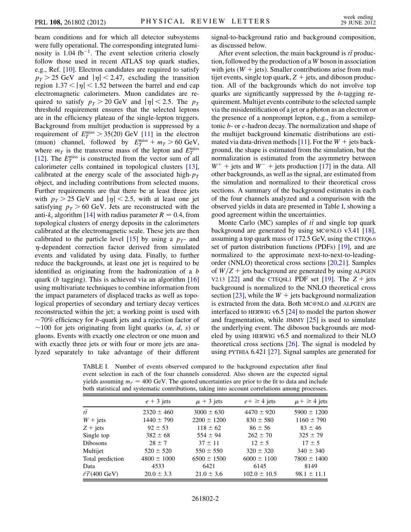beam conditions and for which all detector subsystems were fully operational. The corresponding integrated luminosity is  $1.04 \text{ fb}^{-1}$ . The event selection criteria closely follow those used in recent ATLAS top quark studies, e.g., Ref. [[10\]](#page-4-9). Electron candidates are required to satisfy  $p_T > 25$  GeV and  $|\eta| < 2.47$ , excluding the transition region  $1.37 < |\eta| < 1.52$  between the barrel and end cap electromagnetic calorimeters. Muon candidates are required to satisfy  $p_T > 20$  GeV and  $|\eta| < 2.5$ . The  $p_T$ threshold requirement ensures that the selected leptons are in the efficiency plateau of the single-lepton triggers. Background from multijet production is suppressed by a requirement of  $E_T^{\text{miss}} > 35(20) \text{ GeV}$  [\[11\]](#page-4-10) in the electron<br>(muon) channel followed by  $E_{\text{miss}} + m_{\text{max}} > 60 \text{ GeV}$ (muon) channel, followed by  $E_T^{\text{miss}} + m_T > 60$  GeV,<br>where  $m_T$  is the transverse mass of the lenton and  $E_{\text{miss}}$ where  $m<sub>T</sub>$  is the transverse mass of the lepton and  $E_T^{\text{miss}}$ [\[12\]](#page-4-11). The  $E_T^{\text{miss}}$  is constructed from the vector sum of all calorimeter cells contained in topological clusters [\[13\]](#page-4-12), calibrated at the energy scale of the associated high- $p_T$ object, and including contributions from selected muons. Further requirements are that there be at least three jets with  $p_T > 25$  GeV and  $|\eta| < 2.5$ , with at least one jet satisfying  $p<sub>T</sub> > 60$  GeV. Jets are reconstructed with the anti-k<sub>t</sub> algorithm [\[14\]](#page-4-13) with radius parameter  $R = 0.4$ , from topological clusters of energy deposits in the calorimeters calibrated at the electromagnetic scale. These jets are then calibrated to the particle level [\[15\]](#page-4-14) by using a  $p_T$ - and  $\eta$ -dependent correction factor derived from simulated events and validated by using data. Finally, to further reduce the backgrounds, at least one jet is required to be identified as originating from the hadronization of a b quark (*b* tagging). This is achieved via an algorithm  $[16]$ using multivariate techniques to combine information from the impact parameters of displaced tracks as well as topological properties of secondary and tertiary decay vertices reconstructed within the jet; a working point is used with ~70% efficiency for b-quark jets and a rejection factor of<br>~100 for jets originating from light quarks (u d s) or ~100 for jets originating from light quarks  $(u, d, s)$  or gluons. Events with exactly one electron or one muon and gluons. Events with exactly one electron or one muon and with exactly three jets or with four or more jets are analyzed separately to take advantage of their different signal-to-background ratio and background composition, as discussed below.

After event selection, the main background is  $t\bar{t}$  produc-<br>in followed by the production of a W boson in association tion, followed by the production of a W boson in association with jets ( $W +$  jets). Smaller contributions arise from multijet events, single top quark,  $Z +$  jets, and diboson production. All of the backgrounds which do not involve top quarks are significantly suppressed by the b-tagging requirement. Multijet events contribute to the selected sample via the misidentification of a jet or a photon as an electron or the presence of a nonprompt lepton, e.g., from a semileptonic b- or c-hadron decay. The normalization and shape of the multijet background kinematic distributions are esti-mated via data-driven methods [[11](#page-4-10)]. For the  $W +$  jets background, the shape is estimated from the simulation, but the normalization is estimated from the asymmetry between  $W^+$  + jets and  $W^-$  + jets production [\[17\]](#page-4-16) in the data. All other backgrounds, as well as the signal, are estimated from the simulation and normalized to their theoretical cross sections. A summary of the background estimates in each of the four channels analyzed and a comparison with the observed yields in data are presented in Table [I](#page-1-0), showing a good agreement within the uncertainties.

Monte Carlo (MC) samples of  $t\bar{t}$  and single top quark<br>ckaround are generated by using MC@NLO  $y^3$  41 [18] background are generated by using MC@NLO v3.41 [[18\]](#page-4-17), assuming a top quark mass of 172.5 GeV, using the CTEQ6.6 set of parton distribution functions (PDFs) [\[19\]](#page-4-18), and are normalized to the approximate next-to-next-to-leadingorder (NNLO) theoretical cross sections [[20](#page-4-19),[21](#page-4-20)]. Samples of  $W/Z$  + jets background are generated by using ALPGEN V2.13 [\[22\]](#page-4-21) and the CTEQ6L1 PDF set [\[19\]](#page-4-18). The  $Z +$  jets background is normalized to the NNLO theoretical cross section [\[23\]](#page-4-22), while the  $W +$  jets background normalization is extracted from the data. Both MC@NLO and ALPGEN are interfaced to HERWIG v6.5 [[24\]](#page-4-23) to model the parton shower and fragmentation, while JIMMY  $[25]$  $[25]$  $[25]$  is used to simulate the underlying event. The diboson backgrounds are modeled by using HERWIG v6.5 and normalized to their NLO theoretical cross sections  $[26]$  $[26]$ . The signal is modeled by using PYTHIA 6.421 [\[27\]](#page-4-26). Signal samples are generated for

<span id="page-1-0"></span>TABLE I. Number of events observed compared to the background expectation after final event selection in each of the four channels considered. Also shown are the expected signal yields assuming  $m_t = 400 \text{ GeV}$ . The quoted uncertainties are prior to the fit to data and include hoth statistical and systematic contributions, taking into account correlations among processes both statistical and systematic contributions, taking into account correlations among processes.

|                   | ັ                                   |
|-------------------|-------------------------------------|
| $e + \geq 4$ jets | $\mu$ + $\geq$ 4 jets               |
| $4470 \pm 920$    | $5900 \pm 1200$                     |
| $830 \pm 580$     | $1160 \pm 790$                      |
| $86 \pm 56$       | $83 \pm 46$                         |
| $262 \pm 70$      | $325 \pm 79$                        |
| $12 + 5$          | $17 \pm 5$                          |
| $320 \pm 320$     | $340 \pm 340$                       |
|                   | $7800 \pm 1400$                     |
| 6145              | 8149                                |
|                   | $98.1 \pm 11.1$                     |
|                   | $6000 \pm 1100$<br>$102.0 \pm 10.5$ |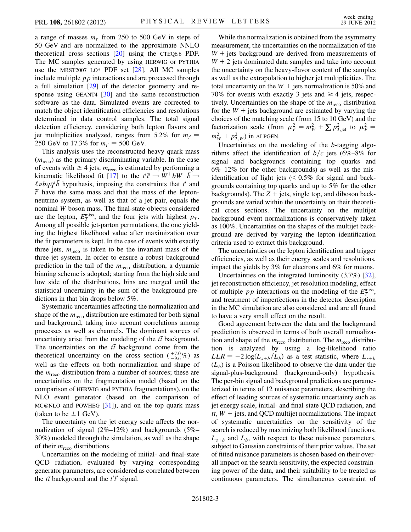a range of masses  $m_{t'}$  from 250 to 500 GeV in steps of 50 GeV and are normalized to the approximate NNLO theoretical cross sections [\[20\]](#page-4-19) using the CTEQ6.6 PDF. The MC samples generated by using HERWIG or PYTHIA use the MRST2007 LO\* PDF set [[28](#page-4-27)]. All MC samples include multiple  $pp$  interactions and are processed through a full simulation [\[29\]](#page-4-28) of the detector geometry and re-sponse using GEANT4 [[30](#page-4-29)] and the same reconstruction software as the data. Simulated events are corrected to match the object identification efficiencies and resolutions determined in data control samples. The total signal detection efficiency, considering both lepton flavors and jet multiplicities analyzed, ranges from 5.2% for  $m_{t'} =$ 250 GeV to 17.3% for  $m_{t'} = 500$  GeV.<br>This analysis uses the reconstructed

This analysis uses the reconstructed heavy quark mass  $(m_{\text{reco}})$  as the primary discriminating variable. In the case of events with  $\geq 4$  jets,  $m_{\text{reco}}$  is estimated by performing a kinematic likelihood fit [[17](#page-4-16)] to the  $t'\bar{t}' \rightarrow \tilde{W}^+ b \tilde{W}^- \bar{b} \rightarrow$ <br> $\ell_{\lambda b} \tilde{\sigma}^i \bar{b}$  hypothesis, imposing the constraints that  $t'$  and  $\ell \nu b q \bar{q}' \bar{b}$  hypothesis, imposing the constraints that  $t'$  and  $\bar{r}'$  have the same mass and that the mass of the lepton- $\vec{r}'$  have the same mass and that the mass of the lepton-<br>neutrino system, as well as that of a jet pair equals the neutrino system, as well as that of a jet pair, equals the nominal W boson mass. The final-state objects considered are the lepton,  $E_T^{\text{miss}}$ , and the four jets with highest  $p_T$ . Among all possible jet-parton permutations, the one yielding the highest likelihood value after maximization over the fit parameters is kept. In the case of events with exactly three jets,  $m_{\text{reco}}$  is taken to be the invariant mass of the three-jet system. In order to ensure a robust background prediction in the tail of the  $m_{\text{reco}}$  distribution, a dynamic binning scheme is adopted; starting from the high side and low side of the distributions, bins are merged until the statistical uncertainty in the sum of the background predictions in that bin drops below 5%.

Systematic uncertainties affecting the normalization and shape of the  $m_{\text{reco}}$  distribution are estimated for both signal and background, taking into account correlations among processes as well as channels. The dominant sources of uncertainty arise from the modeling of the  $t\bar{t}$  background.<br>The uncertainties on the  $t\bar{t}$  background come from the The uncertainties on the  $t\bar{t}$  background come from the<br>theoretical uncertainty on the cross section  $(17.0 \text{ }\% )$  as theoretical uncertainty on the cross section  $\binom{+7.0}{-9.6}$  as<br>well as the effects on both normalization and shape of well as the effects on both normalization and shape of the  $m_{\text{reco}}$  distribution from a number of sources; these are uncertainties on the fragmentation model (based on the comparison of HERWIG and PYTHIA fragmentations), on the NLO event generator (based on the comparison of MC@NLO and POWHEG  $[31]$  $[31]$ , and on the top quark mass (taken to be  $\pm 1$  GeV).

The uncertainty on the jet energy scale affects the normalization of signal (2%–12%) and backgrounds (5%– 30%) modeled through the simulation, as well as the shape of their  $m_{\text{reco}}$  distributions.

Uncertainties on the modeling of initial- and final-state QCD radiation, evaluated by varying corresponding generator parameters, are considered as correlated between the  $t\bar{t}$  background and the  $t'\bar{t}'$  signal.

While the normalization is obtained from the asymmetry measurement, the uncertainties on the normalization of the  $W +$  jets background are derived from measurements of  $W + 2$  jets dominated data samples and take into account the uncertainty on the heavy-flavor content of the samples as well as the extrapolation to higher jet multiplicities. The total uncertainty on the  $W +$  jets normalization is 50% and 70% for events with exactly 3 jets and  $\geq 4$  jets, respectively. Uncertainties on the shape of the  $m_{\text{reco}}$  distribution for the  $W +$  jets background are estimated by varying the choices of the matching scale (from 15 to 10 GeV) and the factorization scale (from  $\mu_F^2 = m_W^2 + \sum p_{T,\text{jet}}^2$  to  $\mu_F^2 = m_Z^2 + n_Z^2$ ) in MDCFM  $m_W^2 + p_{T,W}^2$ ) in ALPGEN.

Uncertainties on the modeling of the b-tagging algorithms affect the identification of  $b/c$  jets (6%–8% for signal and backgrounds containing top quarks and  $6\%$ –12% for the other backgrounds) as well as the misidentification of light jets  $\approx 0.5\%$  for signal and backgrounds containing top quarks and up to 5% for the other backgrounds). The  $Z +$  jets, single top, and diboson backgrounds are varied within the uncertainty on their theoretical cross sections. The uncertainty on the multijet background event normalizations is conservatively taken as 100%. Uncertainties on the shapes of the multijet background are derived by varying the lepton identification criteria used to extract this background.

The uncertainties on the lepton identification and trigger efficiencies, as well as their energy scales and resolutions, impact the yields by 3% for electrons and 6% for muons.

Uncertainties on the integrated luminosity (3.7%) [[32\]](#page-4-31), jet reconstruction efficiency, jet resolution modeling, effect of multiple *pp* interactions on the modeling of the  $E_T^{\text{miss}}$ , and treatment of imperfections in the detector description in the MC simulation are also considered and are all found to have a very small effect on the result.

Good agreement between the data and the background prediction is observed in terms of both overall normalization and shape of the  $m_{\text{reco}}$  distribution. The  $m_{\text{reco}}$  distribution is analyzed by using a log-likelihood ratio  $LLR = -2 \log(L_{s+b}/L_b)$  as a test statistic, where  $L_{s+b}$  $(L_h)$  is a Poisson likelihood to observe the data under the signal-plus-background (background-only) hypothesis. The per-bin signal and background predictions are parameterized in terms of 12 nuisance parameters, describing the effect of leading sources of systematic uncertainty such as jet energy scale, initial- and final-state QCD radiation, and  $\hat{t}$ ,  $\hat{t}$ ,  $\hat{W}$  + jets, and QCD multijet normalizations. The impact of systematic uncertainties on the sensitivity of the search is reduced by maximizing both likelihood functions,  $L_{s+b}$  and  $L_b$ , with respect to these nuisance parameters, subject to Gaussian constraints of their prior values. The set of fitted nuisance parameters is chosen based on their overall impact on the search sensitivity, the expected constraining power of the data, and their suitability to be treated as continuous parameters. The simultaneous constraint of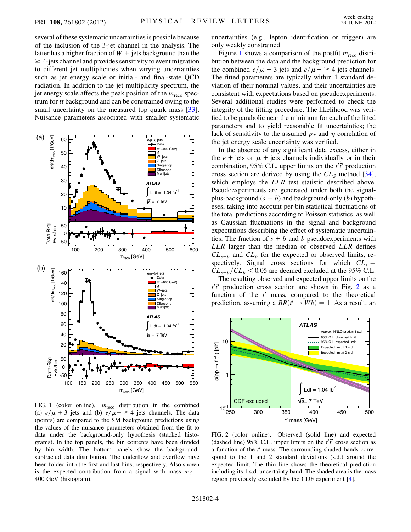several of these systematic uncertainties is possible because of the inclusion of the 3-jet channel in the analysis. The latter has a higher fraction of  $W +$  jets background than the  $\geq$  4-jets channel and provides sensitivity to event migration to different jet multiplicities when varying uncertainties such as jet energy scale or initial- and final-state QCD radiation. In addition to the jet multiplicity spectrum, the jet energy scale affects the peak position of the  $m_{\text{reco}}$  spectrum for  $t\bar{t}$  background and can be constrained owing to the small uncertainty on the measured top quark mass  $\begin{bmatrix} 331 \end{bmatrix}$ small uncertainty on the measured top quark mass [\[33\]](#page-5-0). Nuisance parameters associated with smaller systematic

<span id="page-3-0"></span>

FIG. 1 (color online).  $m_{\text{reco}}$  distribution in the combined (a)  $e/\mu + 3$  jets and (b)  $e/\mu + \ge 4$  jets channels. The data (points) are compared to the SM background predictions using (points) are compared to the SM background predictions using the values of the nuisance parameters obtained from the fit to data under the background-only hypothesis (stacked histograms). In the top panels, the bin contents have been divided by bin width. The bottom panels show the backgroundsubtracted data distribution. The underflow and overflow have been folded into the first and last bins, respectively. Also shown is the expected contribution from a signal with mass  $m_{t'} =$ 400 GeV (histogram).

uncertainties (e.g., lepton identification or trigger) are only weakly constrained.

Figure [1](#page-3-0) shows a comparison of the postfit  $m_{\text{reco}}$  distribution between the data and the background prediction for the combined  $e/\mu + 3$  jets and  $e/\mu + \geq 4$  jets channels.<br>The fitted parameters are typically within 1 standard de-The fitted parameters are typically within 1 standard deviation of their nominal values, and their uncertainties are consistent with expectations based on pseudoexperiments. Several additional studies were performed to check the integrity of the fitting procedure. The likelihood was verified to be parabolic near the minimum for each of the fitted parameters and to yield reasonable fit uncertainties; the lack of sensitivity to the assumed  $p<sub>T</sub>$  and  $\eta$  correlation of the jet energy scale uncertainty was verified.

In the absence of any significant data excess, either in the  $e + \text{jets}$  or  $\mu + \text{jets}$  channels individually or in their combination, 95% C.L. upper limits on the  $t^{\dagger} \vec{t}$  production<br>cross section are derived by using the CL method [34] cross section are derived by using the  $CL<sub>S</sub>$  method [[34\]](#page-5-1), which employs the *LLR* test statistic described above. Pseudoexperiments are generated under both the signalplus-background  $(s + b)$  and background-only  $(b)$  hypotheses, taking into account per-bin statistical fluctuations of the total predictions according to Poisson statistics, as well as Gaussian fluctuations in the signal and background expectations describing the effect of systematic uncertainties. The fraction of  $s + b$  and b pseudoexperiments with LLR larger than the median or observed LLR defines  $CL_{s+b}$  and  $CL_b$  for the expected or observed limits, respectively. Signal cross sections for which  $CL_s =$  $CL_{s+b}/CL_b < 0.05$  are deemed excluded at the 95% C.L.

The resulting observed and expected upper limits on the  $t'\bar{t}'$  production cross section are shown in Fig. [2](#page-3-1) as a function of the  $t'$  mass, compared to the theoretical function of the  $t'$  mass, compared to the theoretical prediction, assuming a  $BR(t' \rightarrow Wb) = 1$ . As a result, an

<span id="page-3-1"></span>

FIG. 2 (color online). Observed (solid line) and expected (dashed line) 95% C.L. upper limits on the  $t^{\prime}$  cross section as a function of the  $t^{\prime}$  mass. The surrounding shaded bands corre a function of the  $t'$  mass. The surrounding shaded bands correspond to the 1 and 2 standard deviations (s.d.) around the expected limit. The thin line shows the theoretical prediction including its 1 s.d. uncertainty band. The shaded area is the mass region previously excluded by the CDF experiment [[4](#page-4-3)].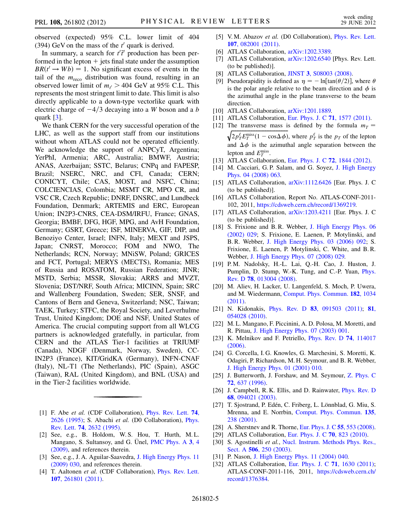observed (expected) 95% C.L. lower limit of 404 (394) GeV on the mass of the  $t'$  quark is derived.

In summary, a search for  $t^{T}$  production has been per-<br>treed in the lepton  $+$  jets final state under the assumption formed in the lepton  $+$  jets final state under the assumption  $BR(t' \rightarrow Wb) = 1$ . No significant excess of events in the rail of the *m* distribution was found resulting in an tail of the  $m_{\text{reco}}$  distribution was found, resulting in an observed lower limit of  $m_t$  > 404 GeV at 95% C.L. This represents the most stringent limit to date. This limit is also represents the most stringent limit to date. This limit is also directly applicable to a down-type vectorlike quark with electric charge of  $-4/3$  decaying into a W boson and a b quark [\[3\]](#page-4-2).

We thank CERN for the very successful operation of the LHC, as well as the support staff from our institutions without whom ATLAS could not be operated efficiently. We acknowledge the support of ANPCyT, Argentina; YerPhI, Armenia; ARC, Australia; BMWF, Austria; ANAS, Azerbaijan; SSTC, Belarus; CNPq and FAPESP, Brazil; NSERC, NRC, and CFI, Canada; CERN; CONICYT, Chile; CAS, MOST, and NSFC, China; COLCIENCIAS, Colombia; MSMT CR, MPO CR, and VSC CR, Czech Republic; DNRF, DNSRC, and Lundbeck Foundation, Denmark; ARTEMIS and ERC, European Union; IN2P3-CNRS, CEA-DSM/IRFU, France; GNAS, Georgia; BMBF, DFG, HGF, MPG, and AvH Foundation, Germany; GSRT, Greece; ISF, MINERVA, GIF, DIP, and Benoziyo Center, Israel; INFN, Italy; MEXT and JSPS, Japan; CNRST, Morocco; FOM and NWO, The Netherlands; RCN, Norway; MNiSW, Poland; GRICES and FCT, Portugal; MERYS (MECTS), Romania; MES of Russia and ROSATOM, Russian Federation; JINR; MSTD, Serbia; MSSR, Slovakia; ARRS and MVZT, Slovenia; DST/NRF, South Africa; MICINN, Spain; SRC and Wallenberg Foundation, Sweden; SER, SNSF, and Cantons of Bern and Geneva, Switzerland; NSC, Taiwan; TAEK, Turkey; STFC, the Royal Society, and Leverhulme Trust, United Kingdom; DOE and NSF, United States of America. The crucial computing support from all WLCG partners is acknowledged gratefully, in particular, from CERN and the ATLAS Tier-1 facilities at TRIUMF (Canada), NDGF (Denmark, Norway, Sweden), CC-IN2P3 (France), KIT/GridKA (Germany), INFN-CNAF (Italy), NL-T1 (The Netherlands), PIC (Spain), ASGC (Taiwan), RAL (United Kingdom), and BNL (USA) and in the Tier-2 facilities worldwide.

- <span id="page-4-0"></span>[1] F. Abe et al. (CDF Collaboration), [Phys. Rev. Lett.](http://dx.doi.org/10.1103/PhysRevLett.74.2626) 74, [2626 \(1995\);](http://dx.doi.org/10.1103/PhysRevLett.74.2626) S. Abachi et al. (D0 Collaboration), [Phys.](http://dx.doi.org/10.1103/PhysRevLett.74.2632) Rev. Lett. 74[, 2632 \(1995\).](http://dx.doi.org/10.1103/PhysRevLett.74.2632)
- <span id="page-4-1"></span>[2] See, e.g., B. Holdom, W. S. Hou, T. Hurth, M. L. Mangano, S. Sultansoy, and G. Ünel, [PMC Phys. A](http://dx.doi.org/10.1186/1754-0410-3-4) 3, 4 [\(2009\)](http://dx.doi.org/10.1186/1754-0410-3-4), and references therein.
- <span id="page-4-2"></span>[3] See, e.g., J. A. Aguilar-Saavedra, [J. High Energy Phys. 11](http://dx.doi.org/10.1088/1126-6708/2009/11/030) [\(2009\) 030](http://dx.doi.org/10.1088/1126-6708/2009/11/030), and references therein.
- <span id="page-4-3"></span>[4] T. Aaltonen et al. (CDF Collaboration), [Phys. Rev. Lett.](http://dx.doi.org/10.1103/PhysRevLett.107.261801) 107[, 261801 \(2011\)](http://dx.doi.org/10.1103/PhysRevLett.107.261801).
- <span id="page-4-4"></span>[5] V.M. Abazov et al. (D0 Collaboration), *[Phys. Rev. Lett.](http://dx.doi.org/10.1103/PhysRevLett.107.082001)* 107[, 082001 \(2011\)](http://dx.doi.org/10.1103/PhysRevLett.107.082001).
- <span id="page-4-5"></span>[6] ATLAS Collaboration, [arXiv:1202.3389.](http://arXiv.org/abs/1202.3389)
- <span id="page-4-6"></span>[7] ATLAS Collaboration, [arXiv:1202.6540](http://arXiv.org/abs/1202.6540) [Phys. Rev. Lett. (to be published)].
- <span id="page-4-7"></span>[8] ATLAS Collaboration, JINST 3[, S08003 \(2008\).](http://dx.doi.org/10.1088/1748-0221/3/08/S08003)
- <span id="page-4-8"></span>[9] Pseudorapidity is defined as  $\eta = -\ln[\tan(\theta/2)]$ , where  $\theta$ is the polar angle relative to the beam direction and  $\phi$  is the azimuthal angle in the plane transverse to the beam direction.
- <span id="page-4-9"></span>[10] ATLAS Collaboration, [arXiv:1201.1889.](http://arXiv.org/abs/1201.1889)
- <span id="page-4-11"></span><span id="page-4-10"></span>[11] ATLAS Collaboration, [Eur. Phys. J. C](http://dx.doi.org/10.1140/epjc/s10052-011-1577-6) 71, 1577 (2011).
- [12] The transverse mass is defined by the formula  $m<sub>T</sub>$  =  $\sqrt{2p_f^{\ell}E_T^{\text{miss}}(1-\cos\Delta\phi)}$ , where  $p_f^{\ell}$  is the  $p_T$  of the lepton and  $\Delta \phi$  is the azimuthal angle separation between the lepton and  $F<sup>miss</sup>$ lepton and  $E_T^{\text{miss}}$ .
- <span id="page-4-13"></span><span id="page-4-12"></span>[13] ATLAS Collaboration, [Eur. Phys. J. C](http://dx.doi.org/10.1140/epjc/s10052-011-1844-6) **72**, 1844 (2012).
- [14] M. Cacciari, G.P. Salam, and G. Soyez, [J. High Energy](http://dx.doi.org/10.1088/1126-6708/2008/04/063) [Phys. 04 \(2008\) 063.](http://dx.doi.org/10.1088/1126-6708/2008/04/063)
- <span id="page-4-14"></span>[15] ATLAS Collaboration, [arXiv:1112.6426](http://arXiv.org/abs/1112.6426) [Eur. Phys. J. C (to be published)].
- <span id="page-4-15"></span>[16] ATLAS Collaboration, Report No. ATLAS-CONF-2011- 102, 2011, [https://cdsweb.cern.ch/record/1369219.](https://cdsweb.cern.ch/record/1369219)
- <span id="page-4-16"></span>[17] ATLAS Collaboration, [arXiv:1203.4211](http://arXiv.org/abs/1203.4211) [Eur. Phys. J. C (to be published)].
- <span id="page-4-17"></span>[18] S. Frixione and B.R. Webber, [J. High Energy Phys. 06](http://dx.doi.org/10.1088/1126-6708/2002/06/029) [\(2002\) 029;](http://dx.doi.org/10.1088/1126-6708/2002/06/029) S. Frixione, E. Laenen, P. Motylinski, and B. R. Webber, [J. High Energy Phys. 03 \(2006\) 092](http://dx.doi.org/10.1088/1126-6708/2006/03/092); S. Frixione, E. Laenen, P. Motylinski, C. White, and B. R. Webber, [J. High Energy Phys. 07 \(2008\) 029.](http://dx.doi.org/10.1088/1126-6708/2008/07/029)
- <span id="page-4-18"></span>[19] P. M. Nadolsky, H.-L. Lai, Q.-H. Cao, J. Huston, J. Pumplin, D. Stump, W.-K. Tung, and C.-P. Yuan, [Phys.](http://dx.doi.org/10.1103/PhysRevD.78.013004) Rev. D 78[, 013004 \(2008\)](http://dx.doi.org/10.1103/PhysRevD.78.013004).
- <span id="page-4-19"></span>[20] M. Aliev, H. Lacker, U. Langenfeld, S. Moch, P. Uwera, and M. Wiedermann, [Comput. Phys. Commun.](http://dx.doi.org/10.1016/j.cpc.2010.12.040) 182, 1034 [\(2011\)](http://dx.doi.org/10.1016/j.cpc.2010.12.040).
- <span id="page-4-20"></span>[21] N. Kidonakis, Phys. Rev. D 83[, 091503 \(2011\);](http://dx.doi.org/10.1103/PhysRevD.83.091503) [81](http://dx.doi.org/10.1103/PhysRevD.81.054028), [054028 \(2010\).](http://dx.doi.org/10.1103/PhysRevD.81.054028)
- <span id="page-4-21"></span>[22] M. L. Mangano, F. Piccinini, A. D. Polosa, M. Moretti, and R. Pittau, [J. High Energy Phys. 07 \(2003\) 001](http://dx.doi.org/10.1088/1126-6708/2003/07/001).
- <span id="page-4-22"></span>[23] K. Melnikov and F. Petriello, [Phys. Rev. D](http://dx.doi.org/10.1103/PhysRevD.74.114017) 74, 114017 [\(2006\)](http://dx.doi.org/10.1103/PhysRevD.74.114017).
- <span id="page-4-23"></span>[24] G. Corcella, I. G. Knowles, G. Marchesini, S. Moretti, K. Odagiri, P. Richardson, M. H. Seymour, and B. R. Webber, [J. High Energy Phys. 01 \(2001\) 010.](http://dx.doi.org/10.1088/1126-6708/2001/01/010)
- <span id="page-4-24"></span>[25] J. Butterworth, J. Forshaw, and M. Seymour, [Z. Phys. C](http://dx.doi.org/10.1007/s002880050286) 72[, 637 \(1996\)](http://dx.doi.org/10.1007/s002880050286).
- <span id="page-4-25"></span>[26] J. Campbell, R. K. Ellis, and D. Rainwater, *[Phys. Rev. D](http://dx.doi.org/10.1103/PhysRevD.68.094021)* 68[, 094021 \(2003\)](http://dx.doi.org/10.1103/PhysRevD.68.094021).
- <span id="page-4-26"></span>[27] T. Sjostrand, P. Edén, C. Friberg, L. Lönnblad, G. Miu, S. Mrenna, and E. Norrbin, [Comput. Phys. Commun.](http://dx.doi.org/10.1016/S0010-4655(00)00236-8) 135, [238 \(2001\)](http://dx.doi.org/10.1016/S0010-4655(00)00236-8).
- <span id="page-4-28"></span><span id="page-4-27"></span>[28] A. Sherstnev and R. Thorne, [Eur. Phys. J. C](http://dx.doi.org/10.1140/epjc/s10052-008-0610-x) 55, 553 (2008).
- <span id="page-4-29"></span>[29] ATLAS Collaboration, [Eur. Phys. J. C](http://dx.doi.org/10.1140/epjc/s10052-010-1429-9) **70**, 823 (2010).
- [30] S. Agostinelli et al., [Nucl. Instrum. Methods Phys. Res.,](http://dx.doi.org/10.1016/S0168-9002(03)01368-8) Sect. A **506**[, 250 \(2003\).](http://dx.doi.org/10.1016/S0168-9002(03)01368-8)
- <span id="page-4-31"></span><span id="page-4-30"></span>[31] P. Nason, [J. High Energy Phys. 11 \(2004\) 040.](http://dx.doi.org/10.1088/1126-6708/2004/11/040)
- [32] ATLAS Collaboration, [Eur. Phys. J. C](http://dx.doi.org/10.1140/epjc/s10052-011-1630-5) 71, 1630 (2011); ATLAS-CONF-2011-116, 2011, [https://cdsweb.cern.ch/](https://cdsweb.cern.ch/record/1376384) [record/1376384.](https://cdsweb.cern.ch/record/1376384)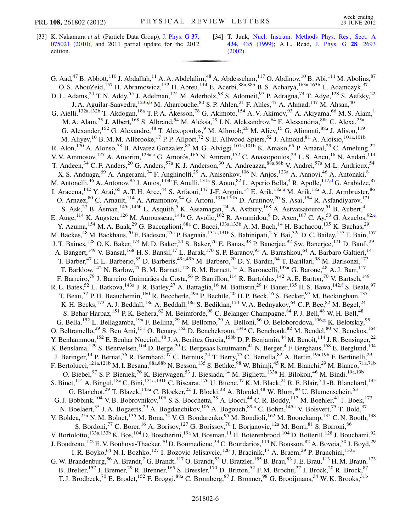- <span id="page-5-0"></span>[33] K. Nakamura et al. (Particle Data Group), [J. Phys. G](http://dx.doi.org/10.1088/0954-3899/37/7A/075021) 37, [075021 \(2010\),](http://dx.doi.org/10.1088/0954-3899/37/7A/075021) and 2011 partial update for the 2012 edition.
- <span id="page-5-1"></span>[34] T. Junk, [Nucl. Instrum. Methods Phys. Res., Sect. A](http://dx.doi.org/10.1016/S0168-9002(99)00498-2) 434[, 435 \(1999\);](http://dx.doi.org/10.1016/S0168-9002(99)00498-2) A. L. Read, [J. Phys. G](http://dx.doi.org/10.1088/0954-3899/28/10/313) 28, 2693 [\(2002\)](http://dx.doi.org/10.1088/0954-3899/28/10/313).

<span id="page-5-8"></span><span id="page-5-7"></span><span id="page-5-6"></span><span id="page-5-5"></span><span id="page-5-4"></span><span id="page-5-3"></span><span id="page-5-2"></span>G. Aad,<sup>47</sup> B. Abbott,<sup>110</sup> J. Abdallah,<sup>11</sup> A. A. Abdelalim,<sup>48</sup> A. Abdesselam,<sup>117</sup> O. Abdinov,<sup>10</sup> B. Abi,<sup>111</sup> M. Abolins,<sup>87</sup> O. S. AbouZeid,<sup>157</sup> H. Abramowicz,<sup>152</sup> H. Abreu,<sup>114</sup> E. Acerbi,<sup>88a,88b</sup> B. S. Acharya,<sup>163a,163b</sup> L. Adamczyk,<sup>37</sup> D. L. Adams,<sup>24</sup> T. N. Addy,<sup>55</sup> J. Adelman,<sup>174</sup> M. Aderholz,<sup>98</sup> S. Adomeit,<sup>97</sup> P. Adragna,<sup>74</sup> T. Adye,<sup>128</sup> S. Aefsky,<sup>22</sup> J. A. Aguilar-Saavedra,<sup>123[b](#page-17-0),b</sup> M. Aharrouche, <sup>80</sup> S. P. Ahlen,<sup>21</sup> F. Ahles,<sup>47</sup> A. Ahmad,<sup>147</sup> M. Ahsan,<sup>40</sup> G. Aielli,<sup>132a,132b</sup> T. Akdogan,<sup>18a</sup> T. P. A. Åkesson,<sup>78</sup> G. Akimoto,<sup>154</sup> A. V. Akimov,<sup>93</sup> A. Akiyama,<sup>66</sup> M. S. Alam,<sup>1</sup> M. A. Alam,<sup>75</sup> J. Albert,<sup>168</sup> S. Albrand,<sup>54</sup> M. Aleksa,<sup>29</sup> I. N. Aleksandrov,<sup>64</sup> F. Alessandria,<sup>88a</sup> C. Alexa,<sup>25a</sup> G. Alexander, <sup>152</sup> G. Alexandre, <sup>48</sup> T. Alexopoulos, <sup>9</sup> M. Alhroob, <sup>20</sup> M. Aliev, <sup>15</sup> G. Alimonti, <sup>88a</sup> J. Alison, <sup>119</sup> M. Aliyev,<sup>10</sup> B. M. M. Allbrooke,<sup>17</sup> P. P. Allport,<sup>72</sup> S. E. Allwood-Spiers,<sup>52</sup> J. Almond,<sup>81</sup> A. Aloisio,<sup>101a,101b</sup> R. Alon,<sup>170</sup> A. Alonso,<sup>78</sup> B. Alvarez Gonzalez,<sup>87</sup> M. G. Alviggi,<sup>101a,101b</sup> K. Amako,<sup>65</sup> P. Amaral,<sup>29</sup> C. Amelung,<sup>22</sup> V. V. Ammosov,<sup>127</sup> A. Amorim,<sup>123a,[c](#page-17-1)</sup> G. Amorós,<sup>166</sup> N. Amram,<sup>152</sup> C. Anastopoulos,<sup>29</sup> L. S. Ancu,<sup>16</sup> N. Andari,<sup>114</sup> T. Andeen,<sup>34</sup> C. F. Anders,<sup>20</sup> G. Anders,<sup>57a</sup> K. J. Anderson,<sup>30</sup> A. Andreazza,<sup>88a,88b</sup> V. Andrei,<sup>57a</sup> M-L. Andrieux,<sup>54</sup> X. S. Anduaga, <sup>69</sup> A. Angerami, <sup>34</sup> F. Anghinolfi, <sup>29</sup> A. Anisenkov, <sup>106</sup> N. Anjos, <sup>123a</sup> A. Annovi, <sup>46</sup> A. Antonaki, <sup>8</sup> M. Antonelli,<sup>46</sup> A. Antonov,<sup>95</sup> J. Antos,<sup>143b</sup> F. Anulli,<sup>131a</sup> S. Aoun,<sup>82</sup> L. Aperio Bella,<sup>4</sup> R. Apolle,<sup>117[,d](#page-17-2)</sup> G. Arabidze,<sup>87</sup> I. Aracena, <sup>142</sup> Y. Arai, <sup>65</sup> A. T. H. Arce, <sup>44</sup> S. Arfaoui, <sup>147</sup> J-F. Arguin, <sup>14</sup> E. Arik, <sup>18a, a</sup> M. Arik, <sup>18a</sup> A. J. Armbruster, <sup>86</sup> O. Arnaez, <sup>80</sup> C. Arnault, <sup>114</sup> A. Artamonov, <sup>94</sup> G. Artoni, <sup>131a, 131b</sup> D. Arutinov, <sup>20</sup> S. Asai, <sup>154</sup> R. Asfandiyarov, <sup>171</sup> S. Ask,<sup>27</sup> B. Åsman,<sup>145a,145b</sup> L. Asquith,<sup>5</sup> K. Assamagan,<sup>24</sup> A. Astbury,<sup>168</sup> A. Astvatsatourov,<sup>51</sup> B. Aubert,<sup>4</sup> E. Aug[e](#page-17-4),<sup>114</sup> K. Augsten,<sup>126</sup> M. Aurousseau,<sup>144a</sup> G. Avolio,<sup>162</sup> R. Avramidou,<sup>9</sup> D. Axen,<sup>167</sup> C. Ay,<sup>53</sup> G. Azuelos,<sup>92,e</sup> Y. Azuma,<sup>154</sup> M. A. Baak,<sup>29</sup> G. Baccaglioni,<sup>88a</sup> C. Bacci,<sup>133a,133b</sup> A. M. Bach,<sup>14</sup> H. Bachacou,<sup>135</sup> K. Bachas,<sup>29</sup> M. Backes,<sup>48</sup> M. Backhaus,<sup>20</sup> E. Badescu,<sup>25a</sup> P. Bagnaia,<sup>131a,131b</sup> S. Bahinipati,<sup>2</sup> Y. Bai,<sup>32a</sup> D. C. Bailey,<sup>157</sup> T. Bain,<sup>157</sup> J. T. Baines,<sup>128</sup> O. K. Baker,<sup>174</sup> M. D. Baker,<sup>24</sup> S. Baker,<sup>76</sup> E. Banas,<sup>38</sup> P. Banerjee,<sup>92</sup> Sw. Banerjee,<sup>171</sup> D. Banfi,<sup>29</sup> A. Bangert,<sup>149</sup> V. Bansal,<sup>168</sup> H. S. Bansil,<sup>17</sup> L. Barak,<sup>170</sup> S. P. Baranov,<sup>93</sup> A. Barashkou,<sup>64</sup> A. Barbaro Galtieri,<sup>14</sup> T. Barber,<sup>47</sup> E. L. Barberio,<sup>85</sup> D. Barberis,<sup>49a,49b</sup> M. Barbero,<sup>20</sup> D. Y. Bardin,<sup>64</sup> T. Barillari,<sup>98</sup> M. Barisonzi,<sup>173</sup> T. Barklow,  $^{142}$  N. Barlow,  $^{27}$  B. M. Barnett,  $^{128}$  R. M. Barnett,  $^{14}$  A. Baroncelli,  $^{133a}$  G. Barone,  $^{48}$  A. J. Barr,  $^{117}$ F. Barreiro,<sup>79</sup> J. Barreiro Guimarães da Costa,<sup>56</sup> P. Barrillon,<sup>114</sup> R. Bartoldus,<sup>142</sup> A. E. Barton,<sup>70</sup> V. Bartsch,<sup>148</sup> R. L. Bates,<sup>52</sup> L. Batkova,<sup>143a</sup> J. R. Batley,<sup>27</sup> A. Battaglia,<sup>16</sup> M. Battistin,<sup>29</sup> F. Bauer,<sup>135</sup> H. S. Bawa,<sup>142,[f](#page-17-5)</sup> S. Beale,<sup>97</sup> T. Beau,<sup>77</sup> P. H. Beauchemin,<sup>160</sup> R. Beccherle,<sup>49a</sup> P. Bechtle,<sup>20</sup> H. P. Beck,<sup>16</sup> S. Becker,<sup>97</sup> M. Beckingham,<sup>137</sup> K. H. Becks,<sup>173</sup> A. J. Beddall,<sup>18c</sup> A. Beddall,<sup>18c</sup> S. Bedikian,<sup>174</sup> V. A. Bednyakov,<sup>64</sup> C. P. Bee,<sup>82</sup> M. Begel,<sup>24</sup> S. Behar Harpaz, <sup>151</sup> P. K. Behera, <sup>62</sup> M. Beimforde, <sup>98</sup> C. Belanger-Champagne, <sup>84</sup> P. J. Bell, <sup>48</sup> W. H. Bell, <sup>48</sup> G. Bella,<sup>152</sup> L. Bellagamba,<sup>19a</sup> F. Bellina,<sup>29</sup> M. Bellomo,<sup>29</sup> A. Belloni,<sup>56</sup> O. Beloborodova,<sup>106[,g](#page-17-6)</sup> K. Belotskiy,<sup>95</sup> O. Beltramello,<sup>29</sup> S. Ben Ami,<sup>151</sup> O. Benary,<sup>152</sup> D. Benchekroun,<sup>134a</sup> C. Benchouk,<sup>82</sup> M. Bendel,<sup>80</sup> N. Benekos,<sup>164</sup> Y. Benhammou,<sup>152</sup> E. Benhar Noccioli,<sup>48</sup> J. A. Benitez Garcia,<sup>158b</sup> D. P. Benjamin,<sup>44</sup> M. Benoit,<sup>114</sup> J. R. Bensinger,<sup>22</sup> K. Benslama,  $^{129}$  S. Bentvelsen,  $^{104}$  D. Berge,  $^{29}$  E. Bergeaas Kuutmann,  $^{41}$  N. Berger,  $^{4}$  F. Berghaus,  $^{168}$  E. Berglund,  $^{104}$ J. Beringer,<sup>14</sup> P. Bernat,<sup>76</sup> R. Bernhard,<sup>47</sup> C. Bernius,<sup>24</sup> T. Berry,<sup>75</sup> C. Bertella,<sup>82</sup> A. Bertin,<sup>19a,19b</sup> F. Bertinelli,<sup>29</sup> F. Bertolucci,<sup>121a,121b</sup> M. I. Besana,<sup>88a,88b</sup> N. Besson,<sup>135</sup> S. Bethke,<sup>98</sup> W. Bhimji,<sup>45</sup> R. M. Bianchi,<sup>29</sup> M. Bianco,<sup>71a,71b</sup> O. Biebel,<sup>97</sup> S. P. Bieniek,<sup>76</sup> K. Bierwagen,<sup>53</sup> J. Biesiada,<sup>14</sup> M. Biglietti,<sup>133a</sup> H. Bilokon,<sup>46</sup> M. Bindi,<sup>19a,19b</sup> S. Binet,<sup>114</sup> A. Bingul,<sup>18c</sup> C. Bini,<sup>131a,131b</sup> C. Biscarat,<sup>176</sup> U. Bitenc,<sup>47</sup> K. M. Black,<sup>21</sup> R. E. Blair,<sup>5</sup> J.-B. Blanchard,<sup>135</sup> G. Blanchot,<sup>29</sup> T. Blazek,<sup>143a</sup> C. Blocker,<sup>22</sup> J. Blocki,<sup>38</sup> A. Blondel,<sup>48</sup> W. Blum,<sup>80</sup> U. Blumenschein,<sup>53</sup> G. J. Bobbink,<sup>104</sup> V. B. Bobrovnikov,<sup>106</sup> S. S. Bocchetta,<sup>78</sup> A. Bocci,<sup>44</sup> C. R. Boddy,<sup>117</sup> M. Boehler,<sup>41</sup> J. Boek,<sup>173</sup> N. Boelaert,<sup>35</sup> J. A. Bogaerts,<sup>29</sup> A. Bogdanchikov,<sup>106</sup> A. Bogouch,<sup>89[,a](#page-17-3)</sup> C. Bohm,<sup>145a</sup> V. Boisvert,<sup>75</sup> T. Bold,<sup>37</sup> V. Boldea,<sup>25a</sup> N. M. Bolnet,<sup>135</sup> M. Bona,<sup>74</sup> V. G. Bondarenko,<sup>95</sup> M. Bondioli,<sup>162</sup> M. Boonekamp,<sup>135</sup> C. N. Booth,<sup>138</sup> S. Bordoni,<sup>77</sup> C. Borer,<sup>16</sup> A. Borisov,<sup>127</sup> G. Borissov,<sup>70</sup> I. Borjanovic,<sup>12a</sup> M. Borri,<sup>81</sup> S. Borroni,<sup>86</sup> V. Bortolotto,  $^{133a,133b}$  K. Bos,  $^{104}$  D. Boscherini,  $^{19a}$  M. Bosman,  $^{11}$  H. Boterenbrood,  $^{104}$  D. Botterill,  $^{128}$  J. Bouchami,  $^{92}$ J. Boudreau,  $^{122}$  E. V. Bouhova-Thacker,  $^{70}$  D. Boumediene,  $^{33}$  C. Bourdarios,  $^{114}$  N. Bousson,  $^{82}$  A. Boveia,  $^{30}$  J. Boyd,  $^{29}$ I. R. Boyko,<sup>64</sup> N. I. Bozhko,<sup>127</sup> I. Bozovic-Jelisavcic,<sup>12b</sup> J. Bracinik,<sup>17</sup> A. Braem,<sup>29</sup> P. Branchini,<sup>133a</sup> G. W. Brandenburg, <sup>56</sup> A. Brandt, <sup>7</sup> G. Brandt, <sup>117</sup> O. Brandt, <sup>53</sup> U. Bratzler, <sup>155</sup> B. Brau, <sup>83</sup> J. E. Brau, <sup>113</sup> H. M. Braun, <sup>173</sup> B. Brelier,<sup>157</sup> J. Bremer,<sup>29</sup> R. Brenner,<sup>165</sup> S. Bressler,<sup>170</sup> D. Britton,<sup>52</sup> F. M. Brochu,<sup>27</sup> I. Brock,<sup>20</sup> R. Brock,<sup>87</sup> T. J. Brodbeck,<sup>70</sup> E. Brodet,<sup>152</sup> F. Broggi,<sup>88a</sup> C. Bromberg,<sup>87</sup> J. Bronner,<sup>98</sup> G. Brooijmans,<sup>34</sup> W. K. Brooks,<sup>31b</sup>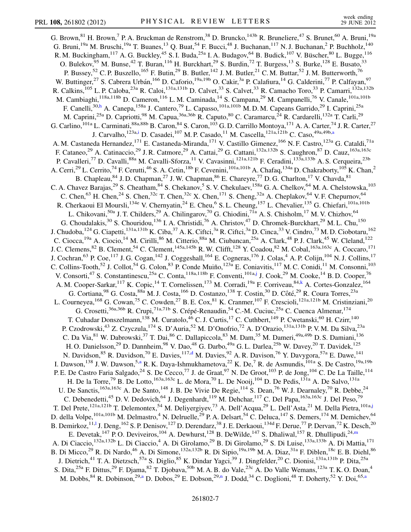<span id="page-6-6"></span><span id="page-6-5"></span><span id="page-6-4"></span><span id="page-6-3"></span><span id="page-6-2"></span><span id="page-6-1"></span><span id="page-6-0"></span>G. Brown,<sup>81</sup> H. Brown,<sup>7</sup> P. A. Bruckman de Renstrom,<sup>38</sup> D. Bruncko,<sup>143b</sup> R. Bruneliere,<sup>47</sup> S. Brunet,<sup>60</sup> A. Bruni,<sup>19a</sup> G. Bruni,<sup>19a</sup> M. Bruschi,<sup>19a</sup> T. Buanes,<sup>13</sup> Q. Buat,<sup>54</sup> F. Bucci,<sup>48</sup> J. Buchanan,<sup>117</sup> N. J. Buchanan,<sup>2</sup> P. Buchholz,<sup>140</sup> R. M. Buckingham, <sup>117</sup> A. G. Buckley, <sup>45</sup> S. I. Buda, <sup>25a</sup> I. A. Budagov, <sup>64</sup> B. Budick, <sup>107</sup> V. Büscher, <sup>80</sup> L. Bugge, <sup>116</sup> O. Bulekov, <sup>95</sup> M. Bunse, <sup>42</sup> T. Buran, <sup>116</sup> H. Burckhart, <sup>29</sup> S. Burdin, <sup>72</sup> T. Burgess, <sup>13</sup> S. Burke, <sup>128</sup> E. Busato, <sup>33</sup> P. Bussey,<sup>52</sup> C. P. Buszello,<sup>165</sup> F. Butin,<sup>29</sup> B. Butler,<sup>142</sup> J. M. Butler,<sup>21</sup> C. M. Buttar,<sup>52</sup> J. M. Butterworth,<sup>76</sup> W. Buttinger,<sup>27</sup> S. Cabrera Urbán,<sup>166</sup> D. Caforio,<sup>19a,19b</sup> O. Cakir,<sup>3a</sup> P. Calafiura,<sup>14</sup> G. Calderini,<sup>77</sup> P. Calfayan,<sup>97</sup> R. Calkins,<sup>105</sup> L. P. Caloba,<sup>23a</sup> R. Caloi,<sup>131a,131b</sup> D. Calvet,<sup>33</sup> S. Calvet,<sup>33</sup> R. Camacho Toro,<sup>33</sup> P. Camarri,<sup>132a,132b</sup> M. Cambiaghi,<sup>118a,118b</sup> D. Cameron,<sup>116</sup> L. M. Caminada,<sup>14</sup> S. Campana,<sup>29</sup> M. Campanelli,<sup>76</sup> V. Canale,<sup>101a,101b</sup> F. Canelli,<sup>30,[h](#page-17-7)</sup> A. Canepa,<sup>158a</sup> J. Cantero,<sup>79</sup> L. Capasso,<sup>101a,101b</sup> M.D.M. Capeans Garrido,<sup>29</sup> I. Caprini,<sup>25a</sup> M. Caprini,<sup>25a</sup> D. Capriotti,<sup>98</sup> M. Capua,<sup>36a,36b</sup> R. Caputo,<sup>80</sup> C. Caramarcu,<sup>24</sup> R. Cardarelli,<sup>132a</sup> T. Carli,<sup>29</sup> G. Carlino, <sup>101a</sup> L. Carminati,  $88a,88b$  B. Caron,  $84$  S. Caron,  $103$  G. D. Carrillo Montoya,  $171$  A. A. Carter,  $74$  J. R. Carter,  $27$ J. Carvalho, <sup>123a[,i](#page-17-8)</sup> D. C[a](#page-17-3)sadei, <sup>107</sup> M. P. Casado, <sup>11</sup> M. Cascella, <sup>121a, 121b</sup> C. Caso, <sup>49a, 49b, a</sup> A. M. Castaneda Hernandez,<sup>171</sup> E. Castaneda-Miranda,<sup>171</sup> V. Castillo Gimenez,<sup>166</sup> N. F. Castro,<sup>123a</sup> G. Cataldi,<sup>71a</sup> F. Cataneo,<sup>29</sup> A. Catinaccio,<sup>29</sup> J. R. Catmore,<sup>29</sup> A. Cattai,<sup>29</sup> G. Cattani,<sup>132a,132b</sup> S. Caughron,<sup>87</sup> D. Cauz,<sup>163a,163c</sup> P. Cavalleri,<sup>77</sup> D. Cavalli,<sup>88a</sup> M. Cavalli-Sforza,<sup>11</sup> V. Cavasinni,<sup>121a,121b</sup> F. Ceradini,<sup>133a,133b</sup> A. S. Cerqueira,<sup>23b</sup> A. Cerri,<sup>29</sup> L. Cerrito,<sup>74</sup> F. Cerutti,<sup>46</sup> S. A. Cetin,<sup>18b</sup> F. Cevenini,<sup>101a,101b</sup> A. Chafaq,<sup>134a</sup> D. Chakraborty,<sup>105</sup> K. Chan,<sup>2</sup> B. Chapleau, <sup>84</sup> J.D. Chapman, <sup>27</sup> J.W. Chapman, <sup>86</sup> E. Chareyre, <sup>77</sup> D.G. Charlton, <sup>17</sup> V. Chavda, <sup>81</sup> C. A. Chavez Barajas,<sup>29</sup> S. Cheatham,<sup>84</sup> S. Chekanov,<sup>5</sup> S. V. Chekulaev,<sup>158a</sup> G. A. Chelkov,<sup>64</sup> M. A. Chelstowska,<sup>103</sup> C. Chen,<sup>63</sup> H. Chen,<sup>24</sup> S. Chen,<sup>32c</sup> T. Chen,<sup>32c</sup> X. Chen,<sup>171</sup> S. Cheng,<sup>32a</sup> A. Cheplakov,<sup>64</sup> V. F. Chepurnov,<sup>64</sup> R. Cherkaoui El Moursli,<sup>134e</sup> V. Chernyatin,<sup>24</sup> E. Cheu,<sup>6</sup> S. L. Cheung,<sup>157</sup> L. Chevalier,<sup>135</sup> G. Chiefari,<sup>101a,101b</sup> L. Chikovani,<sup>50a</sup> J. T. Childers,<sup>29</sup> A. Chilingarov,<sup>70</sup> G. Chiodini,<sup>71a</sup> A. S. Chisholm,<sup>17</sup> M. V. Chizhov,<sup>64</sup> G. Choudalakis,<sup>30</sup> S. Chouridou,<sup>136</sup> I. A. Christidi,<sup>76</sup> A. Christov,<sup>47</sup> D. Chromek-Burckhart,<sup>29</sup> M. L. Chu,<sup>150</sup> J. Chudoba, <sup>124</sup> G. Ciapetti, <sup>131a,131b</sup> K. Ciba, <sup>37</sup> A. K. Ciftci, <sup>3a</sup> R. Ciftci, <sup>3a</sup> D. Cinca, <sup>33</sup> V. Cindro, <sup>73</sup> M. D. Ciobotaru, <sup>162</sup> C. Ciocca,<sup>19a</sup> A. Ciocio,<sup>14</sup> M. Cirilli,<sup>86</sup> M. Citterio,<sup>88a</sup> M. Ciubancan,<sup>25a</sup> A. Clark,<sup>48</sup> P.J. Clark,<sup>45</sup> W. Cleland,<sup>122</sup> J. C. Clemens, <sup>82</sup> B. Clement, <sup>54</sup> C. Clement, <sup>145a, 145b</sup> R. W. Clifft, <sup>128</sup> Y. Coadou, <sup>82</sup> M. Cobal, <sup>163a, 163c</sup> A. Coccaro, <sup>171</sup> J. Cochran,<sup>63</sup> P. Coe,<sup>117</sup> J. G. Cogan,<sup>142</sup> J. Coggeshall,<sup>164</sup> E. Cogneras,<sup>176</sup> J. Colas,<sup>4</sup> A. P. Colijn,<sup>104</sup> N. J. Collins,<sup>17</sup> C. Collins-Tooth,<sup>52</sup> J. Collot,<sup>54</sup> G. Colon,<sup>83</sup> P. Conde Muiño,<sup>123a</sup> E. Coniavitis,<sup>117</sup> M. C. Conidi,<sup>11</sup> M. Consonni,<sup>103</sup> V. Consorti, <sup>47</sup> S. Constantinescu, <sup>25a</sup> C. Conta, <sup>118a,118b</sup> F. Conventi, <sup>101a[,j](#page-17-9)</sup> J. Cook, <sup>29</sup> M. Cooke, <sup>14</sup> B.D. Cooper, <sup>76</sup> A. M. Cooper-Sarkar, <sup>117</sup> K. Copic, <sup>14</sup> T. Cornelissen, <sup>173</sup> M. Corradi, <sup>19a</sup> F. Corriveau, <sup>84[,k](#page-17-10)</sup> A. Cortes-Gonzalez, <sup>164</sup> G. Cortiana, <sup>98</sup> G. Costa, <sup>88a</sup> M. J. Costa, <sup>166</sup> D. Costanzo, <sup>138</sup> T. Costin, <sup>30</sup> D. Côté, <sup>29</sup> R. Coura Torres, <sup>23a</sup> L. Courneyea,<sup>168</sup> G. Cowan,<sup>75</sup> C. Cowden,<sup>27</sup> B. E. Cox,<sup>81</sup> K. Cranmer,<sup>107</sup> F. Crescioli,<sup>121a,121b</sup> M. Cristinziani,<sup>20</sup> G. Crosetti,  $36a,36b$  R. Crupi,  $71a,71b$  S. Crépé-Renaudin,  $54$  C.-M. Cuciuc,  $25a$  C. Cuenca Almenar,  $174$ T. Cuhadar Donszelmann,<sup>138</sup> M. Curatolo,<sup>46</sup> C. J. Curtis,<sup>17</sup> C. Cuthbert,<sup>149</sup> P. Cwetanski,<sup>60</sup> H. Czirr,<sup>140</sup> P. Czodrowski,<sup>43</sup> Z. Czyczula,<sup>174</sup> S. D'Auria,<sup>52</sup> M. D'Onofrio,<sup>72</sup> A. D'Orazio,<sup>131a,131b</sup> P. V. M. Da Silva,<sup>23a</sup> C. Da Via, <sup>81</sup> W. Dabrowski, <sup>37</sup> T. Dai, <sup>86</sup> C. Dallapiccola, <sup>83</sup> M. Dam, <sup>35</sup> M. Dameri, <sup>49a, 49b</sup> D. S. Damiani, <sup>136</sup> H. O. Danielsson,<sup>29</sup> D. Dannheim,<sup>98</sup> V. Dao,<sup>48</sup> G. Darbo,<sup>49a</sup> G. L. Darlea,<sup>25b</sup> W. Davey,<sup>20</sup> T. Davidek,<sup>125</sup> N. Davidson,<sup>85</sup> R. Davidson,<sup>70</sup> E. Davies,<sup>117[,d](#page-17-2)</sup> M. Davies,<sup>92</sup> A. R. Davison,<sup>76</sup> Y. Davygora,<sup>57a</sup> E. Dawe,<sup>141</sup> I. Dawson,<sup>138</sup> J. W. Dawson,<sup>5[,a](#page-17-3)</sup> R. K. Daya-Ishmukhametova,<sup>22</sup> K. De,<sup>7</sup> R. de Asmundis,<sup>101a</sup> S. De Castro,<sup>19a,19b</sup> P. E. De Castro Faria Salgado,<sup>24</sup> S. De Cecco,<sup>77</sup> J. de Graat,<sup>97</sup> N. De Groot,<sup>103</sup> P. de Jong,<sup>104</sup> C. De La Taille,<sup>114</sup> H. De la Torre,<sup>79</sup> B. De Lotto,<sup>163a,163c</sup> L. de Mora,<sup>70</sup> L. De Nooij,<sup>104</sup> D. De Pedis,<sup>131a</sup> A. De Salvo,<sup>131a</sup> U. De Sanctis,  $^{163a,163c}$  A. De Santo,  $^{148}$  J. B. De Vivie De Regie,  $^{114}$  S. Dean,  $^{76}$  W. J. Dearnaley,  $^{70}$  R. Debbe,  $^{24}$ C. Debenedetti,<sup>45</sup> D. V. Dedovich,<sup>64</sup> J. Degenhardt,<sup>119</sup> M. Dehchar,<sup>117</sup> C. Del Papa,<sup>163a,163c</sup> J. Del Peso,<sup>79</sup> T. Del Prete,<sup>121a,121b</sup> T. Delemontex,<sup>54</sup> M. Deliyergiyev,<sup>73</sup> A. Dell'Acqua,<sup>29</sup> L. Dell'Asta,<sup>21</sup> M. Della Pietra,<sup>101a[,j](#page-17-9)</sup> D. della Volpe,<sup>101a,101b</sup> M. Delmastro,<sup>4</sup> N. Delruelle,<sup>29</sup> P. A. Delsart,<sup>54</sup> C. Deluca,<sup>147</sup> S. Demers,<sup>174</sup> M. Demichev,<sup>64</sup> B. Demirkoz, 11,1 J. Deng, <sup>162</sup> S. P. Denisov, <sup>127</sup> D. Derendarz, <sup>38</sup> J. E. Derkaoui, <sup>134d</sup> F. Derue, <sup>77</sup> P. Dervan, <sup>72</sup> K. Desch, <sup>20</sup> E. Devetak,  $147$  P.O. Deviveiros,  $104$  A. Dewhurst,  $128$  B. DeWilde,  $147$  S. Dhaliwal,  $157$  R. Dhullipudi,  $24,\text{m}$  $24,\text{m}$  $24,\text{m}$ A. Di Ciaccio,<sup>132a,132b</sup> L. Di Ciaccio,<sup>4</sup> A. Di Girolamo,<sup>29</sup> B. Di Girolamo,<sup>29</sup> S. Di Luise,<sup>133a,133b</sup> A. Di Mattia,<sup>171</sup> B. Di Micco,<sup>29</sup> R. Di Nardo,<sup>46</sup> A. Di Simone,<sup>132a,132b</sup> R. Di Sipio,<sup>19a,19b</sup> M. A. Diaz,<sup>31a</sup> F. Diblen,<sup>18c</sup> E. B. Diehl,<sup>86</sup> J. Dietrich,<sup>41</sup> T. A. Dietzsch,<sup>57a</sup> S. Diglio,<sup>85</sup> K. Dindar Yagci,<sup>39</sup> J. Dingfelder,<sup>20</sup> C. Dionisi,<sup>131a,131b</sup> P. Dita,<sup>25a</sup> S. Dita,<sup>25a</sup> F. Dittus,<sup>29</sup> F. Djama,<sup>82</sup> T. Djobava,<sup>50b</sup> M. A. B. do Vale,<sup>23c</sup> A. Do Valle Wemans,<sup>123a</sup> T. K. O. Doan,<sup>4</sup> M. Dobbs,  $84$  R. Dobi[n](#page-17-13)son,  $29, a$  $29, a$  D. Dobos,  $29$  E. Dobson,  $29, n$  J. Dodd,  $34$  C. Doglioni,  $48$  T. Doherty,  $52$  Y. Doi,  $65, a$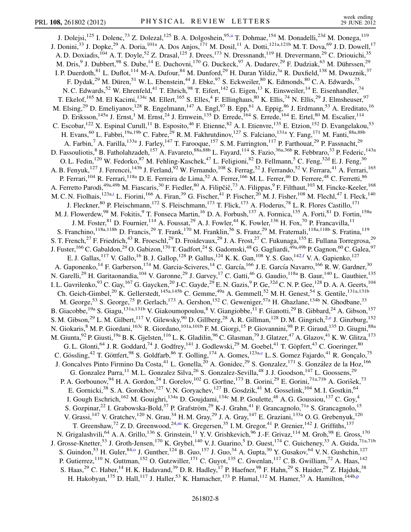<span id="page-7-1"></span><span id="page-7-0"></span>J. Dolejsi,<sup>125</sup> I. Dolenc,<sup>73</sup> Z. Dolez[a](#page-17-3)l,<sup>125</sup> B. A. Dolgoshein,<sup>95,a</sup> T. Dohmae,<sup>154</sup> M. Donadelli,<sup>23d</sup> M. Donega,<sup>119</sup> J. Donini,<sup>33</sup> J. Dopke,<sup>29</sup> A. Doria,<sup>101a</sup> A. Dos Anjos,<sup>171</sup> M. Dosil,<sup>11</sup> A. Dotti,<sup>121a,121b</sup> M. T. Dova,<sup>69</sup> J. D. Dowell,<sup>17</sup> A. D. Doxiadis,<sup>104</sup> A. T. Doyle,<sup>52</sup> Z. Drasal,<sup>125</sup> J. Drees,<sup>173</sup> N. Dressnandt,<sup>119</sup> H. Drevermann,<sup>29</sup> C. Driouichi,<sup>35</sup> M. Dris,<sup>9</sup> J. Dubbert,<sup>98</sup> S. Dube,<sup>14</sup> E. Duchovni,<sup>170</sup> G. Duckeck,<sup>97</sup> A. Dudarev,<sup>29</sup> F. Dudziak,<sup>63</sup> M. Dührssen,<sup>29</sup> I. P. Duerdoth, <sup>81</sup> L. Duflot, <sup>114</sup> M-A. Dufour, <sup>84</sup> M. Dunford, <sup>29</sup> H. Duran Yildiz, <sup>3a</sup> R. Duxfield, <sup>138</sup> M. Dwuznik, <sup>37</sup> F. Dydak,<sup>29</sup> M. Düren,<sup>51</sup> W. L. Ebenstein,<sup>44</sup> J. Ebke,<sup>97</sup> S. Eckweiler,<sup>80</sup> K. Edmonds,<sup>80</sup> C. A. Edwards,<sup>75</sup> N. C. Edwards,<sup>52</sup> W. Ehrenfeld,<sup>41</sup> T. Ehrich,<sup>98</sup> T. Eifert,<sup>142</sup> G. Eigen,<sup>13</sup> K. Einsweiler,<sup>14</sup> E. Eisenhandler,<sup>74</sup> T. Ekelof,<sup>165</sup> M. El Kacimi,<sup>134c</sup> M. Ellert,<sup>165</sup> S. Elles,<sup>4</sup> F. Ellinghaus,<sup>80</sup> K. Ellis,<sup>74</sup> N. Ellis,<sup>29</sup> J. Elmsheuser,<sup>97</sup> M. Elsing,<sup>29</sup> D. Emeliyanov,<sup>128</sup> R. Engelmann,<sup>147</sup> A. Engl,<sup>97</sup> B. Epp,<sup>61</sup> A. Eppig,<sup>86</sup> J. Erdmann,<sup>53</sup> A. Ereditato,<sup>16</sup> D. Eriksson,<sup>145a</sup> J. Ernst,<sup>1</sup> M. Ernst,<sup>24</sup> J. Ernwein,<sup>135</sup> D. Errede,<sup>164</sup> S. Errede,<sup>164</sup> E. Ertel,<sup>80</sup> M. Escalier,<sup>114</sup> C. Escobar,<sup>122</sup> X. Espinal Curull,<sup>11</sup> B. Esposito,<sup>46</sup> F. Etienne,<sup>82</sup> A. I. Etienvre,<sup>135</sup> E. Etzion,<sup>152</sup> D. Evangelakou,<sup>53</sup> H. Evans,<sup>60</sup> L. Fabbri,<sup>19a,19b</sup> C. Fabre,<sup>29</sup> R. M. Fakhrutdinov,<sup>127</sup> S. Falciano,<sup>131a</sup> Y. Fang,<sup>171</sup> M. Fanti,<sup>88a,88b</sup> A. Farbin,<sup>7</sup> A. Farilla,<sup>133a</sup> J. Farley,<sup>147</sup> T. Farooque,<sup>157</sup> S.M. Farrington,<sup>117</sup> P. Farthouat,<sup>29</sup> P. Fassnacht,<sup>29</sup> D. Fassouliotis,<sup>8</sup> B. Fatholahzadeh,<sup>157</sup> A. Favareto,<sup>88a,88b</sup> L. Fayard,<sup>114</sup> S. Fazio,<sup>36a,36b</sup> R. Febbraro,<sup>33</sup> P. Federic,<sup>143a</sup> O. L. Fedin, <sup>120</sup> W. Fedorko, <sup>87</sup> M. Fehling-Kaschek, <sup>47</sup> L. Feligioni, <sup>82</sup> D. Fellmann, <sup>5</sup> C. Feng, <sup>32d</sup> E. J. Feng, <sup>30</sup> A. B. Fenyuk,<sup>127</sup> J. Ferencei,<sup>143b</sup> J. Ferland,<sup>92</sup> W. Fernando,<sup>108</sup> S. Ferrag,<sup>52</sup> J. Ferrando,<sup>52</sup> V. Ferrara,<sup>41</sup> A. Ferrari,<sup>165</sup> P. Ferrari,<sup>104</sup> R. Ferrari,<sup>118a</sup> D. E. Ferreira de Lima,<sup>52</sup> A. Ferrer,<sup>166</sup> M. L. Ferrer,<sup>46</sup> D. Ferrere,<sup>48</sup> C. Ferretti,<sup>86</sup> A. Ferretto Parodi,<sup>49a,49b</sup> M. Fiascaris,<sup>30</sup> F. Fiedler,<sup>80</sup> A. Filipčič,<sup>73</sup> A. Filippas,<sup>9</sup> F. Filthaut,<sup>103</sup> M. Fincke-Keeler,<sup>168</sup> M. C. N. Fiolhais, <sup>123a[,i](#page-17-8)</sup> L. Fiorini, <sup>166</sup> A. Firan,<sup>39</sup> G. Fischer, <sup>41</sup> P. Fischer, <sup>20</sup> M. J. Fisher, <sup>108</sup> M. Flech1, <sup>47</sup> I. Fleck, <sup>140</sup> J. Fleckner,  $80$  P. Fleischmann,  $172$  S. Fleischmann,  $173$  T. Flick,  $173$  A. Floderus,  $78$  L. R. Flores Castillo,  $171$ M. J. Flowerdew,<sup>98</sup> M. Fokitis,<sup>9</sup> T. Fonseca Martin,<sup>16</sup> D. A. Forbush,<sup>137</sup> A. Formica,<sup>135</sup> A. Forti,<sup>81</sup> D. Fortin,<sup>158a</sup> J. M. Foster,  $81$  D. Fournier,  $114$  A. Foussat,  $29$  A. J. Fowler,  $44$  K. Fowler,  $136$  H. Fox,  $70$  P. Francavilla,  $11$ S. Franchino,  $^{118a,118b}$  D. Francis,  $^{29}$  T. Frank,  $^{170}$  M. Franklin,  $^{56}$  S. Franz,  $^{29}$  M. Fraternali,  $^{118a,118b}$  S. Fratina,  $^{119}$ S. T. French,<sup>27</sup> F. Friedrich,<sup>43</sup> R. Froeschl,<sup>29</sup> D. Froidevaux,<sup>29</sup> J. A. Frost,<sup>27</sup> C. Fukunaga,<sup>155</sup> E. Fullana Torregrosa,<sup>29</sup> J. Fuster,<sup>166</sup> C. Gabaldon,<sup>29</sup> O. Gabizon,<sup>170</sup> T. Gadfort,<sup>24</sup> S. Gadomski,<sup>48</sup> G. Gagliardi,<sup>49a,49b</sup> P. Gagnon,<sup>60</sup> C. Galea,<sup>97</sup> E. J. Gallas,  $^{117}$  V. Gallo,  $^{16}$  B. J. Gallop,  $^{128}$  P. Gallus,  $^{124}$  K. K. Gan,  $^{108}$  Y. S. Gao,  $^{142,f}$  $^{142,f}$  $^{142,f}$  V. A. Gapienko,  $^{127}$ A. Gaponenko,<sup>14</sup> F. Garberson,<sup>174</sup> M. Garcia-Sciveres,<sup>14</sup> C. García,<sup>166</sup> J. E. García Navarro,<sup>166</sup> R. W. Gardner,<sup>30</sup> N. Garelli,<sup>29</sup> H. Garitaonandia,<sup>104</sup> V. Garonne,<sup>29</sup> J. Garvey,<sup>17</sup> C. Gatti,<sup>46</sup> G. Gaudio,<sup>118a</sup> B. Gaur,<sup>140</sup> L. Gauthier,<sup>135</sup> 1. L. Gavrilenko,  $^{93}$  C. Gay,  $^{167}$  G. Gaycken,  $^{20}$  J-C. Gayde,  $^{29}$  E. N. Gazis,  $^{9}$  P. Ge,  $^{32d}$  C. N. P. Gee,  $^{128}$  D. A. A. Geerts,  $^{104}$ Ch. Geich-Gimbel,<sup>20</sup> K. Gellerstedt,<sup>145a,145b</sup> C. Gemme,<sup>49a</sup> A. Gemmell,<sup>52</sup> M. H. Genest,<sup>54</sup> S. Gentile,<sup>131a,131b</sup> M. George,<sup>53</sup> S. George,<sup>75</sup> P. Gerlach,<sup>173</sup> A. Gershon,<sup>152</sup> C. Geweniger,<sup>57a</sup> H. Ghazlane,<sup>134b</sup> N. Ghodbane,<sup>33</sup> B. Giacobbe,<sup>19a</sup> S. Giagu,<sup>131a,131b</sup> V. Giakoumopoulou,<sup>8</sup> V. Giangiobbe,<sup>11</sup> F. Gianotti,<sup>29</sup> B. Gibbard,<sup>24</sup> A. Gibson,<sup>157</sup> S. M. Gibson,<sup>29</sup> L. M. Gilbert,<sup>117</sup> V. Gilewsky,<sup>90</sup> D. Gillberg,<sup>28</sup> A. R. Gillman,<sup>128</sup> D. M. Gingrich,<sup>2[,e](#page-17-4)</sup> J. Ginzburg,<sup>152</sup> N. Giokaris,<sup>8</sup> M. P. Giordani, <sup>163c</sup> R. Giordano, <sup>101a,101b</sup> F. M. Giorgi, <sup>15</sup> P. Giovannini, <sup>98</sup> P. F. Giraud, <sup>135</sup> D. Giugni, <sup>88a</sup> M. Giunta, <sup>92</sup> P. Giusti, <sup>19a</sup> B. K. Gjelsten, <sup>116</sup> L. K. Gladilin, <sup>96</sup> C. Glasman, <sup>79</sup> J. Glatzer, <sup>47</sup> A. Glazov, <sup>41</sup> K. W. Glitza, <sup>173</sup> G. L. Glonti,<sup>64</sup> J. R. Goddard,<sup>74</sup> J. Godfrey,<sup>141</sup> J. Godlewski,<sup>29</sup> M. Goebel,<sup>41</sup> T. Göpfert,<sup>43</sup> C. Goeringer,<sup>80</sup> C. Gössling,<sup>42</sup> T. Göttfert,<sup>98</sup> S. Goldfarb,<sup>86</sup> T. Golling,<sup>174</sup> A. Gomes,<sup>123a,[c](#page-17-1)</sup> L. S. Gomez Fajardo,<sup>41</sup> R. Gonçalo,<sup>75</sup> J. Goncalves Pinto Firmino Da Costa,<sup>41</sup> L. Gonella,<sup>20</sup> A. Gonidec,<sup>29</sup> S. Gonzalez,<sup>171</sup> S. González de la Hoz,<sup>166</sup> G. Gonzalez Parra,  $^{11}$  M. L. Gonzalez Silva,  $^{26}$  S. Gonzalez-Sevilla,  $^{48}$  J. J. Goodson,  $^{147}$  L. Goossens,  $^{29}$ P. A. Gorbounov,  $94$  H. A. Gordon,  $24$  I. Gorelov,  $102$  G. Gorfine,  $173$  B. Gorini,  $29$  E. Gorini,  $71a,71b$  A. Goris̆ek,  $73$ E. Gornicki,<sup>38</sup> S. A. Gorokhov,<sup>127</sup> V. N. Goryachev,<sup>127</sup> B. Gosdzik,<sup>41</sup> M. Gosselink,<sup>104</sup> M. I. Gostkin,<sup>64</sup> I. Gough Eschrich,<sup>162</sup> M. Gouighri,<sup>134a</sup> D. Goujdami,<sup>134c</sup> M. P. Goulette,<sup>48</sup> A. G. Goussiou,<sup>137</sup> C. Goy,<sup>4</sup> S. Gozpinar,<sup>22</sup> I. Grabowska-Bold,<sup>37</sup> P. Grafström,<sup>29</sup> K-J. Grahn,<sup>41</sup> F. Grancagnolo,<sup>71a</sup> S. Grancagnolo,<sup>15</sup> V. Grassi,  $^{147}$  V. Gratchev,  $^{120}$  N. Grau,  $^{34}$  H. M. Gray,  $^{29}$  J. A. Gray,  $^{147}$  E. Graziani,  $^{133a}$  O. G. Grebenyuk,  $^{120}$ T. Greenshaw,<sup>72</sup> Z. D. Greenwood,<sup>24,[m](#page-17-12)</sup> K. Gregersen,<sup>35</sup> I. M. Gregor,<sup>41</sup> P. Grenier,<sup>142</sup> J. Griffiths,<sup>137</sup> N. Grigalashvili,<sup>64</sup> A. A. Grillo,<sup>136</sup> S. Grinstein,<sup>11</sup> Y. V. Grishkevich,<sup>96</sup> J.-F. Grivaz,<sup>114</sup> M. Groh,<sup>98</sup> E. Gross,<sup>170</sup> J. Grosse-Knetter,<sup>53</sup> J. Groth-Jensen,<sup>170</sup> K. Grybel,<sup>140</sup> V. J. Guarino,<sup>5</sup> D. Guest,<sup>174</sup> C. Guicheney,<sup>33</sup> A. Guida,<sup>71a,71b</sup> S. Guind[o](#page-17-14)n,<sup>53</sup> H. Guler,<sup>84,o</sup> J. Gunther,<sup>124</sup> B. Guo,<sup>157</sup> J. Guo,<sup>34</sup> A. Gupta,<sup>30</sup> Y. Gusakov,<sup>64</sup> V. N. Gushchin,<sup>127</sup> P. Gutierrez,<sup>110</sup> N. Guttman,<sup>152</sup> O. Gutzwiller,<sup>171</sup> C. Guyot,<sup>135</sup> C. Gwenlan,<sup>117</sup> C. B. Gwilliam,<sup>72</sup> A. Haas,<sup>142</sup> S. Haas,<sup>29</sup> C. Haber,<sup>14</sup> H. K. Hadavand,<sup>39</sup> D. R. Hadley,<sup>17</sup> P. Haefner,<sup>98</sup> F. Hahn,<sup>29</sup> S. Haider,<sup>29</sup> Z. Hajduk,<sup>38</sup> H. Hakobyan,<sup>175</sup> D. Hall,<sup>117</sup> J. Haller,<sup>53</sup> K. Hamacher,<sup>173</sup> P. Hamal,<sup>112</sup> M. Hamer,<sup>53</sup> A. Hamilton,<sup>144b[,p](#page-17-15)</sup>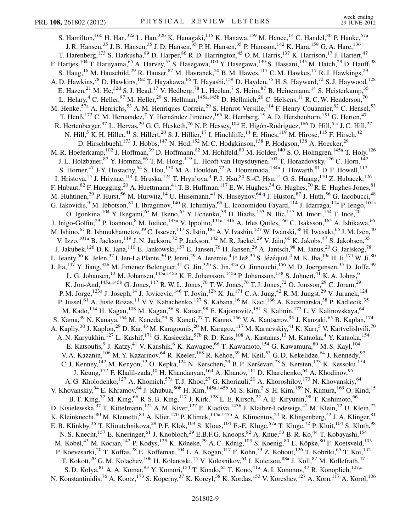<span id="page-8-1"></span><span id="page-8-0"></span>S. Hamilton,<sup>160</sup> H. Han,<sup>32a</sup> L. Han,<sup>32b</sup> K. Hanagaki,<sup>115</sup> K. Hanawa,<sup>159</sup> M. Hance,<sup>14</sup> C. Handel,<sup>80</sup> P. Hanke,<sup>57a</sup> J. R. Hansen,<sup>35</sup> J. B. Hansen,<sup>35</sup> J. D. Hansen,<sup>35</sup> P. H. Hansen,<sup>35</sup> P. Hansson,<sup>142</sup> K. Hara,<sup>159</sup> G. A. Hare,<sup>136</sup> T. Harenberg,<sup>173</sup> S. Harkusha,<sup>89</sup> D. Harper,<sup>86</sup> R. D. Harrington,<sup>45</sup> O. M. Harris,<sup>137</sup> K. Harrison,<sup>17</sup> J. Hartert,<sup>47</sup> F. Hartjes, $^{104}$  T. Haruyama, $^{65}$  A. Harvey, $^{55}$  S. Hasegawa, $^{100}$  Y. Hasegawa, $^{139}$  S. Hassani, $^{135}$  M. Hatch, $^{29}$  D. Hauff, $^{98}$ S. Haug,<sup>16</sup> M. Hauschild,<sup>29</sup> R. Hauser,<sup>87</sup> M. Havranek,<sup>20</sup> B. M. Hawes,<sup>117</sup> C. M. Hawkes,<sup>17</sup> R. J. Hawkings,<sup>29</sup> A. D. Hawkins,<sup>78</sup> D. Hawkins,<sup>162</sup> T. Hayakawa,<sup>66</sup> T. Hayashi,<sup>159</sup> D. Hayden,<sup>75</sup> H. S. Hayward,<sup>72</sup> S. J. Haywood,<sup>128</sup> E. Hazen,<sup>21</sup> M. He,<sup>32d</sup> S. J. Head,<sup>17</sup> V. Hedberg,<sup>78</sup> L. Heelan,<sup>7</sup> S. Heim,<sup>87</sup> B. Heinemann,<sup>14</sup> S. Heisterkamp,<sup>35</sup> L. Helary,<sup>4</sup> C. Heller,<sup>97</sup> M. Heller,<sup>29</sup> S. Hellman,<sup>145a,145b</sup> D. Hellmich,<sup>20</sup> C. Helsens,<sup>11</sup> R. C. W. Henderson,<sup>70</sup> M. Henke,<sup>57a</sup> A. Henrichs,<sup>53</sup> A. M. Henriques Correia,<sup>29</sup> S. Henrot-Versille,<sup>114</sup> F. Henry-Couannier,<sup>82</sup> C. Hensel,<sup>53</sup> T. Henß,<sup>173</sup> C. M. Hernandez,<sup>7</sup> Y. Hernández Jiménez,<sup>166</sup> R. Herrberg,<sup>15</sup> A. D. Hershenhorn,<sup>151</sup> G. Herten,<sup>47</sup> R. Hertenberger,<sup>97</sup> L. Hervas,<sup>29</sup> G. G. Hesketh,<sup>76</sup> N. P. Hessey,<sup>104</sup> E. Higón-Rodriguez,<sup>166</sup> D. Hill,<sup>5[,a](#page-17-3)</sup> J. C. Hill,<sup>27</sup> N. Hill,<sup>5</sup> K. H. Hiller,<sup>41</sup> S. Hillert,<sup>20</sup> S. J. Hillier,<sup>17</sup> I. Hinchliffe,<sup>14</sup> E. Hines,<sup>119</sup> M. Hirose,<sup>115</sup> F. Hirsch,<sup>42</sup> D. Hirschbuehl,<sup>173</sup> J. Hobbs,<sup>147</sup> N. Hod,<sup>152</sup> M. C. Hodgkinson,<sup>138</sup> P. Hodgson,<sup>138</sup> A. Hoecker,<sup>29</sup> M. R. Hoeferkamp,<sup>102</sup> J. Hoffman,<sup>39</sup> D. Hoffmann,<sup>82</sup> M. Hohlfeld,<sup>80</sup> M. Holder,<sup>140</sup> S. O. Holmgren,<sup>145a</sup> T. Holy,<sup>126</sup> J. L. Holzbauer, <sup>87</sup> Y. Homma, <sup>66</sup> T. M. Hong, <sup>119</sup> L. Hooft van Huysduynen, <sup>107</sup> T. Horazdovsky, <sup>126</sup> C. Horn, <sup>142</sup> S. Horner,<sup>47</sup> J-Y. Hostachy,<sup>54</sup> S. Hou,<sup>150</sup> M. A. Houlden,<sup>72</sup> A. Hoummada,<sup>134a</sup> J. Howarth,<sup>81</sup> D. F. Howell,<sup>117</sup> I. Hristova,<sup>15</sup> J. Hrivnac,<sup>114</sup> I. Hruska,<sup>124</sup> T. Hryn'ova,<sup>4</sup> P.J. Hsu,<sup>80</sup> S.-C. Hsu,<sup>14</sup> G.S. Huang,<sup>110</sup> Z. Hubacek,<sup>126</sup> F. Hubaut,  $82$  F. Huegging,  $20$  A. Huettmann,  $41$  T. B. Huffman,  $117$  E. W. Hughes,  $34$  G. Hughes,  $70$  R. E. Hughes-Jones,  $81$ M. Huhtinen,<sup>29</sup> P. Hurst,<sup>56</sup> M. Hurwitz,<sup>14</sup> U. Husemann,<sup>41</sup> N. Huseynov,<sup>64[,q](#page-17-16)</sup> J. Huston,<sup>87</sup> J. Huth,<sup>56</sup> G. Iacobucci,<sup>48</sup> G. Iakovidis,<sup>9</sup> M. Ibbotson,<sup>81</sup> I. Ibragimov,<sup>140</sup> R. Ichimiya,<sup>66</sup> L. Iconomidou-Fayard,<sup>114</sup> J. Idarraga,<sup>114</sup> P. Iengo,<sup>101a</sup> O. Igonkina,  $^{104}$  Y. Ikegami,  $^{65}$  M. Ikeno,  $^{65}$  Y. Ilchenko,  $^{39}$  D. Iliadis,  $^{153}$  N. Ilic,  $^{157}$  M. Imori,  $^{154}$  T. Ince,  $^{20}$ J. Inigo-Golfin,<sup>29</sup> P. Ioannou,<sup>8</sup> M. Iodice,<sup>133a</sup> V. Ippolito,<sup>131a,131b</sup> A. Irles Quiles,<sup>166</sup> C. Isaksson,<sup>165</sup> A. Ishikawa,<sup>66</sup> M. Ishino,<sup>67</sup> R. Ishmukhametov,<sup>39</sup> C. Issever,<sup>117</sup> S. Istin,<sup>18a</sup> A. V. Ivashin,<sup>127</sup> W. Iwanski,<sup>38</sup> H. Iwasaki,<sup>65</sup> J. M. Izen,<sup>40</sup> V. Izzo,<sup>101a</sup> B. Jackson,<sup>119</sup> J. N. Jackson,<sup>72</sup> P. Jackson,<sup>142</sup> M. R. Jaekel,<sup>29</sup> V. Jain,<sup>60</sup> K. Jakobs,<sup>47</sup> S. Jakobsen,<sup>35</sup> J. Jakubek,<sup>126</sup> D. K. Jana,<sup>110</sup> E. Jankowski,<sup>157</sup> E. Jansen,<sup>76</sup> H. Jansen,<sup>29</sup> A. Jantsch,<sup>98</sup> M. Janus,<sup>20</sup> G. Jarlskog,<sup>78</sup> L. Jeanty, $^{56}$  K. Jelen, $^{37}$  I. Jen-La Plante, $^{30}$  P. Jenni, $^{29}$  A. Jeremie, $^4$  P. Jež, $^{35}$  S. Jézéquel, $^4$  M. K. Jha, $^{19a}$  H. Ji, $^{171}$  W. Ji, $^{80}$ J. Jia,<sup>147</sup> Y. Jiang,<sup>32b</sup> M. Jimenez Belenguer,<sup>41</sup> G. Jin,<sup>32b</sup> S. Jin,<sup>32a</sup> O. Jinnouchi,<sup>156</sup> M. D. Joergensen,<sup>35</sup> D. Joffe,<sup>39</sup> L. G. Johansen,<sup>13</sup> M. Johansen,<sup>145a,145b</sup> K. E. Johansson,<sup>145a</sup> P. Johansson,<sup>138</sup> S. Johnert,<sup>41</sup> K. A. Johns,<sup>6</sup> K. Jon-And,  $^{145a,145b}$  G. Jones,  $^{117}$  R. W. L. Jones,  $^{70}$  T. W. Jones,  $^{76}$  T. J. Jones,  $^{72}$  O. Jonsson,  $^{29}$  C. Joram,  $^{29}$ P. M. Jorge,<sup>123a</sup> J. Joseph,<sup>14</sup> J. Jovicevic,<sup>146</sup> T. Jovin,<sup>12b</sup> X. Ju,<sup>171</sup> C. A. Jung,<sup>42</sup> R. M. Jungst,<sup>29</sup> V. Juranek,<sup>124</sup> P. Jussel,<sup>61</sup> A. Juste Rozas,<sup>11</sup> V. V. Kabachenko,<sup>127</sup> S. Kabana,<sup>16</sup> M. Kaci,<sup>166</sup> A. Kaczmarska,<sup>38</sup> P. Kadlecik,<sup>35</sup> M. Kado,<sup>114</sup> H. Kagan,<sup>108</sup> M. Kagan,<sup>56</sup> S. Kaiser,<sup>98</sup> E. Kajomovitz,<sup>151</sup> S. Kalinin,<sup>173</sup> L. V. Kalinovskaya,<sup>64</sup> S. Kama,<sup>39</sup> N. Kanaya, <sup>154</sup> M. Kaneda,<sup>29</sup> S. Kaneti,<sup>27</sup> T. Kanno, <sup>156</sup> V. A. Kantserov,<sup>95</sup> J. Kanzaki,<sup>65</sup> B. Kaplan, <sup>174</sup> A. Kapliy,<sup>30</sup> J. Kaplon,<sup>29</sup> D. Kar,<sup>43</sup> M. Karagounis,<sup>20</sup> M. Karagoz,<sup>117</sup> M. Karnevskiy,<sup>41</sup> K. Karr,<sup>5</sup> V. Kartvelishvili,<sup>70</sup> A. N. Karyukhin,<sup>127</sup> L. Kashif,<sup>171</sup> G. Kasieczka,<sup>57b</sup> R. D. Kass,<sup>108</sup> A. Kastanas,<sup>13</sup> M. Kataoka,<sup>4</sup> Y. Kataoka,<sup>154</sup> E. Katsoufis,<sup>9</sup> J. Katzy,<sup>41</sup> V. Kaushik,<sup>6</sup> K. Kawagoe,<sup>66</sup> T. Kawamoto,<sup>154</sup> G. Kawamura,<sup>80</sup> M. S. Kayl,<sup>104</sup> V. A. Kazanin,<sup>106</sup> M. Y. Kazarinov,<sup>64</sup> R. Keeler,<sup>168</sup> R. Kehoe,<sup>39</sup> M. Keil,<sup>53</sup> G. D. Kekelidze,<sup>64</sup> J. Kennedy,<sup>97</sup> C. J. Kenney,<sup>142</sup> M. Kenyon,<sup>52</sup> O. Kepka,<sup>124</sup> N. Kerschen,<sup>29</sup> B. P. Kerševan,<sup>73</sup> S. Kersten,<sup>173</sup> K. Kessoku,<sup>154</sup> J. Keung, <sup>157</sup> F. Khalil-zada, <sup>10</sup> H. Khandanyan, <sup>164</sup> A. Khanov, <sup>111</sup> D. Kharchenko, <sup>64</sup> A. Khodinov, <sup>95</sup> A. G. Kholodenko, <sup>127</sup> A. Khomich, <sup>57a</sup> T. J. Khoo, <sup>27</sup> G. Khoriauli, <sup>20</sup> A. Khoroshilov, <sup>173</sup> N. Khovanskiy, <sup>64</sup> V. Khovanskiy,  $94$  E. Khramov,  $^{64}$  J. Khubua,  $^{50b}$  H. Kim,  $^{145a,145b}$  M. S. Kim,  $^{2}$  S. H. Kim,  $^{159}$  N. Kimura,  $^{169}$  O. Kind,  $^{15}$ B. T. King,<sup>72</sup> M. King,<sup>66</sup> R. S. B. King,<sup>117</sup> J. Kirk,<sup>128</sup> L. E. Kirsch,<sup>22</sup> A. E. Kiryunin,<sup>98</sup> T. Kishimoto,<sup>66</sup> D. Kisielewska,<sup>37</sup> T. Kittelmann,<sup>122</sup> A. M. Kiver,<sup>127</sup> E. Kladiva,<sup>143b</sup> J. Klaiber-Lodewigs,<sup>42</sup> M. Klein,<sup>72</sup> U. Klein,<sup>72</sup> K. Kleinknecht,<sup>80</sup> M. Klemetti,<sup>84</sup> A. Klier,<sup>170</sup> P. Klimek,<sup>145a,145b</sup> A. Klimentov,<sup>24</sup> R. Klingenberg,<sup>42</sup> J. A. Klinger,<sup>81</sup> E. B. Klinkby,<sup>35</sup> T. Klioutchnikova,<sup>29</sup> P. F. Klok,<sup>103</sup> S. Klous,<sup>104</sup> E.-E. Kluge,<sup>57a</sup> T. Kluge,<sup>72</sup> P. Kluit,<sup>104</sup> S. Kluth,<sup>98</sup> N. S. Knecht,<sup>157</sup> E. Kneringer,<sup>61</sup> J. Knobloch,<sup>29</sup> E.B.F.G. Knoops,<sup>82</sup> A. Knue,<sup>53</sup> B. R. Ko,<sup>44</sup> T. Kobayashi,<sup>154</sup> M. Kobel,<sup>43</sup> M. Kocian,<sup>142</sup> P. Kodys,<sup>125</sup> K. Köneke,<sup>29</sup> A. C. König,<sup>103</sup> S. Koenig,<sup>80</sup> L. Köpke,<sup>80</sup> F. Koetsveld,<sup>103</sup> P. Koevesarki,<sup>20</sup> T. Koffas,<sup>28</sup> E. Koffeman,<sup>104</sup> L. A. Kogan,<sup>117</sup> F. Kohn,<sup>53</sup> Z. Kohout,<sup>126</sup> T. Kohriki,<sup>65</sup> T. Koi,<sup>142</sup> T. Kokott,<sup>20</sup> G. M. Kolachev,<sup>106</sup> H. Kolanoski,<sup>15</sup> V. Kolesnikov,<sup>64</sup> I. Koletsou,<sup>88a</sup> J. Koll,<sup>87</sup> M. Kollefrath,<sup>47</sup> S. D. Kolya, <sup>81</sup> A. A. Komar, <sup>93</sup> Y. Komori, <sup>154</sup> T. Kondo, <sup>65</sup> T. Kono, <sup>41[,r](#page-17-17)</[s](#page-17-18)up> A. I. Kononov, <sup>47</sup> R. Konoplich, <sup>107,s</sup> N. Konstantinidis,<sup>76</sup> A. Kootz,<sup>173</sup> S. Koperny,<sup>37</sup> K. Korcyl,<sup>38</sup> K. Kordas,<sup>153</sup> V. Koreshev,<sup>127</sup> A. Korn,<sup>117</sup> A. Korol,<sup>106</sup>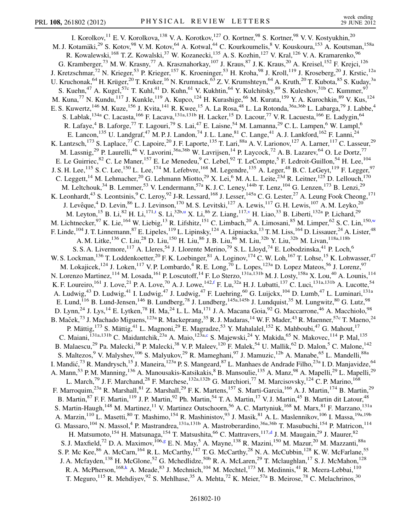<span id="page-9-1"></span><span id="page-9-0"></span>I. Korolkov, <sup>11</sup> E. V. Korolkova, <sup>138</sup> V. A. Korotkov, <sup>127</sup> O. Kortner, <sup>98</sup> S. Kortner, <sup>98</sup> V. V. Kostyukhin, <sup>20</sup> M. J. Kotamäki,<sup>29</sup> S. Kotov,<sup>98</sup> V. M. Kotov,<sup>64</sup> A. Kotwal,<sup>44</sup> C. Kourkoumelis,<sup>8</sup> V. Kouskoura,<sup>153</sup> A. Koutsman,<sup>158a</sup> R. Kowalewski, <sup>168</sup> T. Z. Kowalski, <sup>37</sup> W. Kozanecki, <sup>135</sup> A. S. Kozhin, <sup>127</sup> V. Kral, <sup>126</sup> V. A. Kramarenko, <sup>96</sup> G. Kramberger,<sup>73</sup> M. W. Krasny,<sup>77</sup> A. Krasznahorkay,<sup>107</sup> J. Kraus,<sup>87</sup> J. K. Kraus,<sup>20</sup> A. Kreisel,<sup>152</sup> F. Krejci,<sup>126</sup> J. Kretzschmar,<sup>72</sup> N. Krieger,<sup>53</sup> P. Krieger,<sup>157</sup> K. Kroeninger,<sup>53</sup> H. Kroha,<sup>98</sup> J. Kroll,<sup>119</sup> J. Kroseberg,<sup>20</sup> J. Krstic,<sup>12a</sup> U. Kruchonak, <sup>64</sup> H. Krüger, <sup>20</sup> T. Kruker, <sup>16</sup> N. Krumnack, <sup>63</sup> Z. V. Krumshteyn, <sup>64</sup> A. Kruth, <sup>20</sup> T. Kubota, <sup>85</sup> S. Kuday, <sup>3a</sup> S. Kuehn,<sup>47</sup> A. Kugel,<sup>57c</sup> T. Kuhl,<sup>41</sup> D. Kuhn,<sup>61</sup> V. Kukhtin,<sup>64</sup> Y. Kulchitsky,<sup>89</sup> S. Kuleshov,<sup>31b</sup> C. Kummer,<sup>97</sup> M. Kuna,<sup>77</sup> N. Kundu,<sup>117</sup> J. Kunkle,<sup>119</sup> A. Kupco,<sup>124</sup> H. Kurashige,<sup>66</sup> M. Kurata,<sup>159</sup> Y. A. Kurochkin,<sup>89</sup> V. Kus,<sup>124</sup> E. S. Kuwertz, <sup>146</sup> M. Kuze, <sup>156</sup> J. Kvita, <sup>141</sup> R. Kwee, <sup>15</sup> A. La Rosa, <sup>48</sup> L. La Rotonda, <sup>36a, 36b</sup> L. Labarga, <sup>79</sup> J. Labbe, <sup>4</sup> S. Lablak,<sup>134a</sup> C. Lacasta,<sup>166</sup> F. Lacava,<sup>131a,131b</sup> H. Lacker,<sup>15</sup> D. Lacour,<sup>77</sup> V. R. Lacuesta,<sup>166</sup> E. Ladygin,<sup>64</sup> R. Lafaye,<sup>4</sup> B. Laforge,<sup>77</sup> T. Lagouri,<sup>79</sup> S. Lai,<sup>47</sup> E. Laisne,<sup>54</sup> M. Lamanna,<sup>29</sup> C. L. Lampen,<sup>6</sup> W. Lampl,<sup>6</sup> E. Lancon, <sup>135</sup> U. Landgraf, <sup>47</sup> M. P. J. Landon, <sup>74</sup> J. L. Lane, <sup>81</sup> C. Lange, <sup>41</sup> A. J. Lankford, <sup>162</sup> F. Lanni, <sup>24</sup> K. Lantzsch,<sup>173</sup> S. Laplace,<sup>77</sup> C. Lapoire,<sup>20</sup> J. F. Laporte,<sup>135</sup> T. Lari,<sup>88a</sup> A. V. Larionov,<sup>127</sup> A. Larner,<sup>117</sup> C. Lasseur,<sup>29</sup> M. Lassnig,<sup>29</sup> P. Laurelli,<sup>46</sup> V. Lavorini,<sup>36a,36b</sup> W. Lavrijsen,<sup>14</sup> P. Laycock,<sup>72</sup> A. B. Lazarev,<sup>64</sup> O. Le Dortz,<sup>77</sup> E. Le Guirriec,<sup>82</sup> C. Le Maner,<sup>157</sup> E. Le Menedeu,<sup>9</sup> C. Lebel,<sup>92</sup> T. LeCompte,<sup>5</sup> F. Ledroit-Guillon,<sup>54</sup> H. Lee,<sup>104</sup> J. S. H. Lee,<sup>115</sup> S. C. Lee,<sup>150</sup> L. Lee,<sup>174</sup> M. Lefebvre,<sup>168</sup> M. Legendre,<sup>135</sup> A. Leger,<sup>48</sup> B. C. LeGeyt,<sup>119</sup> F. Legger,<sup>97</sup> C. Leggett,<sup>14</sup> M. Lehmacher,<sup>20</sup> G. Lehmann Miotto,<sup>29</sup> X. Lei,<sup>6</sup> M. A. L. Leite,<sup>23d</sup> R. Leitner,<sup>125</sup> D. Lellouch,<sup>170</sup> M. Leltchouk,<sup>34</sup> B. Lemmer,<sup>53</sup> V. Lendermann,<sup>57a</sup> K. J. C. Leney,<sup>144b</sup> T. Lenz,<sup>104</sup> G. Lenzen,<sup>173</sup> B. Lenzi,<sup>29</sup> K. Leonhardt,<sup>43</sup> S. Leontsinis,<sup>9</sup> C. Leroy,<sup>92</sup> J-R. Lessard,<sup>168</sup> J. Lesser,<sup>145a</sup> C. G. Lester,<sup>27</sup> A. Leung Fook Cheong,<sup>171</sup> J. Levêque,<sup>4</sup> D. Levin,<sup>86</sup> L. J. Levinson,<sup>170</sup> M. S. Levitski,<sup>127</sup> A. Lewis,<sup>117</sup> G. H. Lewis,<sup>107</sup> A. M. Leyko,<sup>20</sup> M. Ley[t](#page-17-19)on, <sup>15</sup> B. Li, <sup>82</sup> H. Li, <sup>171,t</sup> S. Li, <sup>32b[,u](#page-17-20)</sup> X. Li, <sup>86</sup> Z. Liang, <sup>117[,v](#page-17-21)</sup> H. Liao, <sup>33</sup> B. Liberti, <sup>132a</sup> P. Lichard, <sup>29</sup> M. Lichtnecker,<sup>97</sup> K. Lie,<sup>164</sup> W. Liebig,<sup>13</sup> R. Lifshitz,<sup>151</sup> C. Limbach,<sup>20</sup> A. Limosani,<sup>85</sup> M. Limper,<sup>62</sup> S. C. Lin,<sup>150[,w](#page-17-22)</sup> F. Linde, <sup>104</sup> J. T. Linnemann, <sup>87</sup> E. Lipeles, <sup>119</sup> L. Lipinsky, <sup>124</sup> A. Lipniacka, <sup>13</sup> T. M. Liss, <sup>164</sup> D. Lissauer, <sup>24</sup> A. Lister, <sup>48</sup> A. M. Litke, <sup>136</sup> C. Liu, <sup>28</sup> D. Liu, <sup>150</sup> H. Liu, <sup>86</sup> J. B. Liu, <sup>86</sup> M. Liu, <sup>32b</sup> Y. Liu, <sup>32b</sup> M. Livan, <sup>118a, 118b</sup> S. S. A. Livermore, <sup>117</sup> A. Lleres, <sup>54</sup> J. Llorente Merino, <sup>79</sup> S. L. Lloyd, <sup>74</sup> E. Lobodzinska, <sup>41</sup> P. Loch, <sup>6</sup> W. S. Lockman,<sup>136</sup> T. Loddenkoetter,<sup>20</sup> F. K. Loebinger,<sup>81</sup> A. Loginov,<sup>174</sup> C. W. Loh,<sup>167</sup> T. Lohse,<sup>15</sup> K. Lohwasser,<sup>47</sup> M. Lokajicek,<sup>124</sup> J. Loken,<sup>117</sup> V. P. Lombardo,<sup>4</sup> R. E. Long,<sup>70</sup> L. Lopes,<sup>123a</sup> D. Lopez Mateos,<sup>56</sup> J. Lorenz,<sup>97</sup> N. Lorenzo Martinez, <sup>114</sup> M. Losada, <sup>161</sup> P. Loscutoff, <sup>14</sup> F. Lo Sterzo, <sup>131a,131b</sup> M. J. Losty, <sup>158a</sup> X. Lou,<sup>40</sup> A. Lounis, <sup>114</sup> K. F. Loureiro, <sup>161</sup> J. Love, <sup>21</sup> P. A. Love, <sup>70</sup> A. J. Lowe, <sup>142, [f](#page-17-5)</sup> F. Lu, <sup>32a</sup> H. J. Lubatti, <sup>137</sup> C. Luci, <sup>131a, 131b</sup> A. Lucotte, <sup>54</sup> A. Ludwig,<sup>43</sup> D. Ludwig,<sup>41</sup> I. Ludwig,<sup>47</sup> J. Ludwig,<sup>47</sup> F. Luehring,<sup>60</sup> G. Luijckx,<sup>104</sup> D. Lumb,<sup>47</sup> L. Luminari,<sup>131a</sup> E. Lund,<sup>116</sup> B. Lund-Jensen,<sup>146</sup> B. Lundberg,<sup>78</sup> J. Lundberg,<sup>145a,145b</sup> J. Lundquist,<sup>35</sup> M. Lungwitz,<sup>80</sup> G. Lutz,<sup>98</sup> D. Lynn,<sup>24</sup> J. Lys,<sup>14</sup> E. Lytken,<sup>78</sup> H. Ma,<sup>24</sup> L. L. Ma,<sup>171</sup> J. A. Macana Goia,<sup>92</sup> G. Maccarrone,<sup>46</sup> A. Macchiolo,<sup>98</sup> B. Maček,<sup>73</sup> J. Machado Miguens,<sup>123a</sup> R. Mackeprang,<sup>35</sup> R. J. Madaras,<sup>14</sup> W. F. Mader,<sup>43</sup> R. Maenner,<sup>57c</sup> T. Maeno,<sup>24</sup> P. Mättig,<sup>173</sup> S. Mättig,<sup>41</sup> L. Magnoni,<sup>29</sup> E. Magradze,<sup>53</sup> Y. Mahalalel,<sup>152</sup> K. Mahboubi,<sup>47</sup> G. Mahout,<sup>17</sup> C. Maiani,<sup>131a,131b</sup> C. Maidant[c](#page-17-1)hik,<sup>23a</sup> A. Maio,<sup>123a,c</sup> S. Majewski,<sup>24</sup> Y. Makida,<sup>65</sup> N. Makovec,<sup>114</sup> P. Mal,<sup>135</sup> B. Malaescu,<sup>29</sup> Pa. Malecki,<sup>38</sup> P. Malecki,<sup>38</sup> V. P. Maleev,<sup>120</sup> F. Malek,<sup>54</sup> U. Mallik,<sup>62</sup> D. Malon,<sup>5</sup> C. Malone,<sup>142</sup> S. Maltezos,<sup>9</sup> V. Malyshev,<sup>106</sup> S. Malyukov,<sup>29</sup> R. Mameghani,<sup>97</sup> J. Mamuzic,<sup>12b</sup> A. Manabe,<sup>65</sup> L. Mandelli,<sup>88a</sup> I. Mandić,<sup>73</sup> R. Mandrysch,<sup>15</sup> J. Maneira,<sup>123a</sup> P. S. Mangeard,<sup>87</sup> L. Manhaes de Andrade Filho,<sup>23a</sup> I. D. Manjavidze,<sup>64</sup> A. Mann,<sup>53</sup> P. M. Manning,<sup>136</sup> A. Manousakis-Katsikakis,<sup>8</sup> B. Mansoulie,<sup>135</sup> A. Manz,<sup>98</sup> A. Mapelli,<sup>29</sup> L. Mapelli,<sup>29</sup> L. March,<sup>79</sup> J. F. Marchand,<sup>28</sup> F. Marchese,<sup>132a,132b</sup> G. Marchiori,<sup>77</sup> M. Marcisovsky,<sup>124</sup> C. P. Marino,<sup>168</sup> F. Marroquim,<sup>23a</sup> R. Marshall,<sup>81</sup> Z. Marshall,<sup>29</sup> F. K. Martens,<sup>157</sup> S. Marti-Garcia,<sup>166</sup> A. J. Martin,<sup>174</sup> B. Martin,<sup>29</sup> B. Martin, <sup>87</sup> F. F. Martin, <sup>119</sup> J. P. Martin, <sup>92</sup> Ph. Martin, <sup>54</sup> T. A. Martin, <sup>17</sup> V. J. Martin, <sup>45</sup> B. Martin dit Latour, <sup>48</sup> S. Martin-Haugh,<sup>148</sup> M. Martinez,<sup>11</sup> V. Martinez Outschoorn,<sup>56</sup> A. C. Martyniuk,<sup>168</sup> M. Marx,<sup>81</sup> F. Marzano,<sup>131a</sup> A. Marzin,<sup>110</sup> L. Masetti,<sup>80</sup> T. Mashimo,<sup>154</sup> R. Mashinistov,<sup>93</sup> J. Masik,<sup>81</sup> A. L. Maslennikov,<sup>106</sup> I. Massa,<sup>19a,19b</sup> G. Massaro, <sup>104</sup> N. Massol,<sup>4</sup> P. Mastrandrea, <sup>131a,131b</sup> A. Mastroberardino, <sup>36a,36b</sup> T. Masubuchi, <sup>154</sup> P. Matricon, <sup>114</sup> H. Matsumoto,<sup>154</sup> H. Matsunaga,<sup>154</sup> T. Matsushita,<sup>66</sup> C. Mattravers,<sup>117,[d](#page-17-2)</sup> J. M. Maugain,<sup>29</sup> J. Maurer,<sup>82</sup> S. J. Maxfield,<sup>72</sup> D. A. Maximov,<sup>106[,g](#page-17-6)</sup> E. N. May,<sup>5</sup> A. Mayne,<sup>138</sup> R. Mazini,<sup>150</sup> M. Mazur,<sup>20</sup> M. Mazzanti,<sup>88a</sup> S. P. Mc Kee,<sup>86</sup> A. McCarn, <sup>164</sup> R. L. McCarthy, <sup>147</sup> T. G. McCarthy, <sup>28</sup> N. A. McCubbin, <sup>128</sup> K. W. McFarlane, <sup>55</sup> J. A. Mcfayden,<sup>138</sup> H. McGlone,<sup>52</sup> G. Mchedlidze,<sup>50b</sup> R. A. McLaren,<sup>29</sup> T. Mclaughlan,<sup>17</sup> S. J. McMahon,<sup>128</sup> R. A. McPherson,  $^{168,k}$  $^{168,k}$  $^{168,k}$  A. Meade,  $^{83}$  J. Mechnich,  $^{104}$  M. Mechtel,  $^{173}$  M. Medinnis,  $^{41}$  R. Meera-Lebbai,  $^{110}$ T. Meguro,<sup>115</sup> R. Mehdiyev,<sup>92</sup> S. Mehlhase,<sup>35</sup> A. Mehta,<sup>72</sup> K. Meier,<sup>57a</sup> B. Meirose,<sup>78</sup> C. Melachrinos,<sup>30</sup>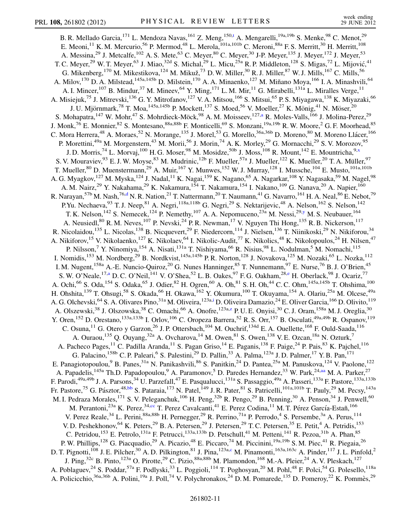<span id="page-10-5"></span><span id="page-10-4"></span><span id="page-10-3"></span><span id="page-10-2"></span><span id="page-10-1"></span><span id="page-10-0"></span>B. R. Mellado Garcia, <sup>171</sup> L. Mendoza Navas, <sup>161</sup> Z. Meng, <sup>150,[t](#page-17-19)</sup> A. Mengarelli, <sup>19a, 19b</sup> S. Menke, <sup>98</sup> C. Menot, <sup>29</sup> E. Meoni,<sup>11</sup> K. M. Mercurio,<sup>56</sup> P. Mermod,<sup>48</sup> L. Merola,<sup>101a,101b</sup> C. Meroni,<sup>88a</sup> F. S. Merritt,<sup>30</sup> H. Merritt,<sup>108</sup> A. Messina,<sup>29</sup> J. Metcalfe,<sup>102</sup> A. S. Mete,<sup>63</sup> C. Meyer,<sup>80</sup> C. Meyer,<sup>30</sup> J-P. Meyer,<sup>135</sup> J. Meyer,<sup>172</sup> J. Meyer,<sup>53</sup> T. C. Meyer,<sup>29</sup> W. T. Meyer,<sup>63</sup> J. Miao,<sup>32d</sup> S. Michal,<sup>29</sup> L. Micu,<sup>25a</sup> R. P. Middleton,<sup>128</sup> S. Migas,<sup>72</sup> L. Mijović,<sup>41</sup> G. Mikenberg, <sup>170</sup> M. Mikestikova, <sup>124</sup> M. Mikuž, <sup>73</sup> D. W. Miller, <sup>30</sup> R. J. Miller, <sup>87</sup> W. J. Mills, <sup>167</sup> C. Mills, <sup>56</sup> A. Milov,<sup>170</sup> D. A. Milstead,<sup>145a,145b</sup> D. Milstein,<sup>170</sup> A. A. Minaenko,<sup>127</sup> M. Miñano Moya,<sup>166</sup> I. A. Minashvili,<sup>64</sup> A. I. Mincer,<sup>107</sup> B. Mindur,<sup>37</sup> M. Mineev,<sup>64</sup> Y. Ming,<sup>171</sup> L. M. Mir,<sup>11</sup> G. Mirabelli,<sup>131a</sup> L. Miralles Verge,<sup>11</sup> A. Misiejuk,<sup>75</sup> J. Mitrevski,<sup>136</sup> G. Y. Mitrofanov,<sup>127</sup> V. A. Mitsou,<sup>166</sup> S. Mitsui,<sup>65</sup> P. S. Miyagawa,<sup>138</sup> K. Miyazaki,<sup>66</sup> J. U. Mjörnmark,<sup>78</sup> T. Moa,<sup>145a,145b</sup> P. Mockett,<sup>137</sup> S. Moed,<sup>56</sup> V. Moeller,<sup>27</sup> K. Mönig,<sup>41</sup> N. Möser,<sup>20</sup> S. Moh[a](#page-17-3)patra,<sup>147</sup> W. Mohr,<sup>47</sup> S. Mohrdieck-Möck,<sup>98</sup> A. M. Moisseev,<sup>127,a</sup> R. Moles-Valls,<sup>166</sup> J. Molina-Perez,<sup>29</sup> J. Monk,<sup>76</sup> E. Monnier,<sup>82</sup> S. Montesano,<sup>88a,88b</sup> F. Monticelli,<sup>69</sup> S. Monzani,<sup>19a,19b</sup> R. W. Moore,<sup>2</sup> G. F. Moorhead,<sup>85</sup> C. Mora Herrera,<sup>48</sup> A. Moraes,<sup>52</sup> N. Morange,<sup>135</sup> J. Morel,<sup>53</sup> G. Morello,<sup>36a,36b</sup> D. Moreno,<sup>80</sup> M. Moreno Llácer,<sup>166</sup> P. Morettini,<sup>49a</sup> M. Morgenstern,<sup>43</sup> M. Morii,<sup>56</sup> J. Morin,<sup>74</sup> A. K. Morley,<sup>29</sup> G. Mornacchi,<sup>29</sup> S. V. Morozov,<sup>95</sup> J. D. Morris,<sup>74</sup> L. Morvaj,<sup>100</sup> H. G. Moser,<sup>98</sup> M. Mosidze,<sup>50b</sup> J. Moss,<sup>108</sup> R. Mount,<sup>142</sup> E. Mountricha,<sup>9,[x](#page-17-23)</sup> S. V. Mouraviev, <sup>93</sup> E. J. W. Moyse, <sup>83</sup> M. Mudrinic, <sup>12b</sup> F. Mueller, <sup>57a</sup> J. Mueller, <sup>122</sup> K. Mueller, <sup>20</sup> T. A. Müller, <sup>97</sup> T. Mueller,<sup>80</sup> D. Muenstermann,<sup>29</sup> A. Muir,<sup>167</sup> Y. Munwes,<sup>152</sup> W. J. Murray,<sup>128</sup> I. Mussche,<sup>104</sup> E. Musto,<sup>101a,101b</sup> A. G. Myagkov,<sup>127</sup> M. Myska,<sup>124</sup> J. Nadal,<sup>11</sup> K. Nagai,<sup>159</sup> K. Nagano,<sup>65</sup> A. Nagarkar,<sup>108</sup> Y. Nagasaka,<sup>59</sup> M. Nagel,<sup>98</sup> A. M. Nairz,<sup>29</sup> Y. Nakahama,<sup>29</sup> K. Nakamura,<sup>154</sup> T. Nakamura,<sup>154</sup> I. Nakano,<sup>109</sup> G. Nanava,<sup>20</sup> A. Napier,<sup>160</sup> R. Narayan,  $57b$  M. Nash,  $76, d$  N. R. Nation,  $21$  T. Nattermann,  $20$  T. Naumann,  $41$  G. Navarro,  $161$  H. A. Neal,  $86$  E. Nebot,  $79$ P.Yu. Nechaeva,<sup>93</sup> T. J. Neep,<sup>81</sup> A. Negri,<sup>118a,118b</sup> G. Negri,<sup>29</sup> S. Nektarijevic,<sup>48</sup> A. Nelson,<sup>162</sup> S. Nelson,<sup>142</sup> T. K. Nelson,<sup>142</sup> S. Nemecek,<sup>124</sup> P. Nemeth[y](#page-17-24),<sup>107</sup> A. A. Nepomuceno,<sup>23a</sup> M. Nessi,<sup>29,y</sup> M. S. Neubauer,<sup>164</sup> A. Neusiedl,<sup>80</sup> R. M. Neves,<sup>107</sup> P. Nevski,<sup>24</sup> P. R. Newman,<sup>17</sup> V. Nguyen Thi Hong,<sup>135</sup> R. B. Nickerson,<sup>117</sup> R. Nicolaidou,<sup>135</sup> L. Nicolas,<sup>138</sup> B. Nicquevert,<sup>29</sup> F. Niedercorn,<sup>114</sup> J. Nielsen,<sup>136</sup> T. Niinikoski,<sup>29</sup> N. Nikiforou,<sup>34</sup> A. Nikiforov,<sup>15</sup> V. Nikolaenko,<sup>127</sup> K. Nikolaev,<sup>64</sup> I. Nikolic-Audit,<sup>77</sup> K. Nikolics,<sup>48</sup> K. Nikolopoulos,<sup>24</sup> H. Nilsen,<sup>47</sup> P. Nilsson,<sup>7</sup> Y. Ninomiya, <sup>154</sup> A. Nisati, <sup>131a</sup> T. Nishiyama, <sup>66</sup> R. Nisius, <sup>98</sup> L. Nodulman, <sup>5</sup> M. Nomachi, <sup>115</sup> I. Nomidis,<sup>153</sup> M. Nordberg,<sup>29</sup> B. Nordkvist,<sup>145a,145b</sup> P. R. Norton,<sup>128</sup> J. Novakova,<sup>125</sup> M. Nozaki,<sup>65</sup> L. Nozka,<sup>112</sup> I. M. Nugent,<sup>158a</sup> A.-E. Nuncio-Quiroz,<sup>20</sup> G. Nunes Hanninger,<sup>85</sup> T. Nunnemann,<sup>97</sup> E. Nurse,<sup>76</sup> B. J. O'Brien,<sup>45</sup> S. W. O'Ne[a](#page-17-3)le,<sup>17,a</sup> D. C. O'Neil,<sup>141</sup> V. O'Shea,<sup>52</sup> L. B. Oakes,<sup>97</sup> F. G. Oakham,<sup>28[,e](#page-17-4)</sup> H. Oberlack,<sup>98</sup> J. Ocariz,<sup>77</sup> A. Ochi,<sup>66</sup> S. Oda,<sup>154</sup> S. Odaka,<sup>65</sup> J. Odier,<sup>82</sup> H. Ogren,<sup>60</sup> A. Oh,<sup>81</sup> S. H. Oh,<sup>44</sup> C. C. Ohm,<sup>145a,145b</sup> T. Ohshima,<sup>100</sup> H. Ohshita,<sup>139</sup> T. Ohsugi,<sup>58</sup> S. Okada,<sup>66</sup> H. Okawa,<sup>162</sup> Y. Okumura,<sup>100</sup> T. Okuyama,<sup>154</sup> A. Olariu,<sup>25a</sup> M. Olcese,<sup>49a</sup> A. G. Olchevski, <sup>64</sup> S. A. Olivares Pino, <sup>31a</sup> M. Oliveira, <sup>123a[,i](#page-17-8)</sup> D. Oliveira Damazio, <sup>24</sup> E. Oliver Garcia, <sup>166</sup> D. Olivito, <sup>119</sup> A. Olszewski,<sup>38</sup> J. Olszowska,<sup>38</sup> C. Omachi,<sup>66</sup> A. Onofre,<sup>123a[,z](#page-17-25)</sup> P. U. E. Onyisi,<sup>30</sup> C. J. Oram,<sup>158a</sup> M. J. Oreglia,<sup>30</sup> Y. Oren,<sup>152</sup> D. Orestano,<sup>133a,133b</sup> I. Orlov,<sup>106</sup> C. Oropeza Barrera,<sup>52</sup> R. S. Orr,<sup>157</sup> B. Osculati,<sup>49a,49b</sup> R. Ospanov,<sup>119</sup> C. Osuna,  $^{11}$  G. Otero y Garzon,  $^{26}$  J. P. Ottersbach,  $^{104}$  M. Ouchrif,  $^{134d}$  E. A. Ouellette,  $^{168}$  F. Ould-Saada,  $^{116}$ A. Ouraou,<sup>135</sup> Q. Ouyang,<sup>32a</sup> A. Ovcharova,<sup>14</sup> M. Owen,<sup>81</sup> S. Owen,<sup>138</sup> V. E. Ozcan,<sup>18a</sup> N. Ozturk,<sup>7</sup> A. Pacheco Pages,<sup>11</sup> C. Padilla Aranda,<sup>11</sup> S. Pagan Griso,<sup>14</sup> E. Paganis,<sup>138</sup> F. Paige,<sup>24</sup> P. Pais,<sup>83</sup> K. Pajchel,<sup>116</sup> G. Palacino,<sup>158b</sup> C. P. Paleari,<sup>6</sup> S. Palestini,<sup>29</sup> D. Pallin,<sup>33</sup> A. Palma,<sup>123a</sup> J. D. Palmer,<sup>17</sup> Y. B. Pan,<sup>171</sup> E. Panagiotopoulou,<sup>9</sup> B. Panes,<sup>31a</sup> N. Panikashvili,<sup>86</sup> S. Panitkin,<sup>24</sup> D. Pantea,<sup>25a</sup> M. Panuskova,<sup>124</sup> V. Paolone,<sup>122</sup> A. Papadelis,<sup>145a</sup> Th.D. Papadopoulou,<sup>9</sup> A. Paramonov,<sup>5</sup> D. Paredes Hernandez,<sup>33</sup> W. Park,<sup>24,[aa](#page-17-26)</sup> M. A. Parker,<sup>27</sup> F. Parodi,<sup>49a,49b</sup> J. A. Parsons,<sup>34</sup> U. Parzefall,<sup>47</sup> E. Pasqualucci,<sup>131a</sup> S. Passaggio,<sup>49a</sup> A. Passeri,<sup>133a</sup> F. Pastore,<sup>133a</sup>,<sup>133b</sup> Fr. Pastore,<sup>75</sup> G. Pásztor,<sup>48,[bb](#page-17-27)</sup> S. Pataraia,<sup>173</sup> N. Patel,<sup>149</sup> J. R. Pater,<sup>81</sup> S. Patricelli,<sup>101a,101b</sup> T. Pauly,<sup>29</sup> M. Pecsy,<sup>143a</sup> M. I. Pedraza Morales,<sup>171</sup> S. V. Peleganchuk,<sup>106</sup> H. Peng,<sup>32b</sup> R. Pengo,<sup>29</sup> B. Penning,<sup>30</sup> A. Penson,<sup>34</sup> J. Penwell,<sup>60</sup> M. Perantoni,<sup>23a</sup> K. Perez,<sup>34[,cc](#page-17-28)</sup> T. Perez Cavalcanti,<sup>41</sup> E. Perez Codina,<sup>11</sup> M. T. Pérez García-Estañ,<sup>166</sup> V. Perez Reale,<sup>34</sup> L. Perini,<sup>88a,88b</sup> H. Pernegger,<sup>29</sup> R. Perrino,<sup>71a</sup> P. Perrodo,<sup>4</sup> S. Persembe,<sup>3a</sup> A. Perus,<sup>114</sup> V. D. Peshekhonov, <sup>64</sup> K. Peters, <sup>29</sup> B. A. Petersen, <sup>29</sup> J. Petersen, <sup>29</sup> T. C. Petersen, <sup>35</sup> E. Petit, <sup>4</sup> A. Petridis, <sup>153</sup> C. Petridou,<sup>153</sup> E. Petrolo,<sup>131a</sup> F. Petrucci,<sup>133a,133b</sup> D. Petschull,<sup>41</sup> M. Petteni,<sup>141</sup> R. Pezoa,<sup>31b</sup> A. Phan,<sup>85</sup> P. W. Phillips,<sup>128</sup> G. Piacquadio,<sup>29</sup> A. Picazio,<sup>48</sup> E. Piccaro,<sup>74</sup> M. Piccinini,<sup>19a,19b</sup> S. M. Piec,<sup>41</sup> R. Piegaia,<sup>26</sup> D. T. Pignotti,<sup>108</sup> J. E. Pil[c](#page-17-1)her,<sup>30</sup> A. D. Pilkington,<sup>81</sup> J. Pina,<sup>123a,c</sup> M. Pinamonti,<sup>163a,163c</sup> A. Pinder,<sup>117</sup> J. L. Pinfold,<sup>2</sup> J. Ping,<sup>32c</sup> B. Pinto,<sup>123a</sup> O. Pirotte,<sup>29</sup> C. Pizio,<sup>88a,88b</sup> M. Plamondon,<sup>168</sup> M.-A. Pleier,<sup>24</sup> A. V. Pleskach,<sup>127</sup> A. Poblaguev,<sup>24</sup> S. Poddar,<sup>57a</sup> F. Podlyski,<sup>33</sup> L. Poggioli,<sup>114</sup> T. Poghosyan,<sup>20</sup> M. Pohl,<sup>48</sup> F. Polci,<sup>54</sup> G. Polesello,<sup>118a</sup> A. Policicchio,<sup>36a,36b</sup> A. Polini,<sup>19a</sup> J. Poll,<sup>74</sup> V. Polychronakos,<sup>24</sup> D. M. Pomarede,<sup>135</sup> D. Pomeroy,<sup>22</sup> K. Pommès,<sup>29</sup>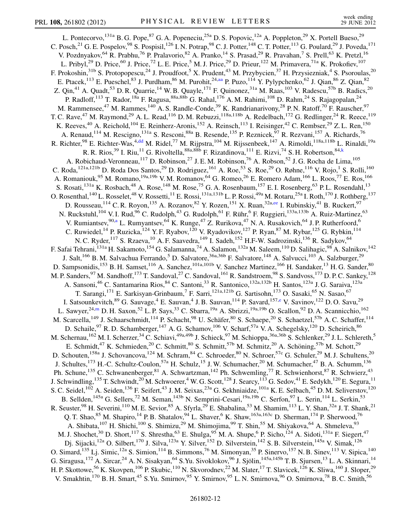<span id="page-11-1"></span><span id="page-11-0"></span>L. Pontecorvo, <sup>131a</sup> B. G. Pope, <sup>87</sup> G. A. Popeneciu, <sup>25a</sup> D. S. Popovic, <sup>12a</sup> A. Poppleton, <sup>29</sup> X. Portell Bueso, <sup>29</sup> C. Posch,<sup>21</sup> G. E. Pospelov,<sup>98</sup> S. Pospisil,<sup>126</sup> I. N. Potrap,<sup>98</sup> C. J. Potter,<sup>148</sup> C. T. Potter,<sup>113</sup> G. Poulard,<sup>29</sup> J. Poveda,<sup>171</sup> V. Pozdnyakov,<sup>64</sup> R. Prabhu,<sup>76</sup> P. Pralavorio,<sup>82</sup> A. Pranko,<sup>14</sup> S. Prasad,<sup>29</sup> R. Pravahan,<sup>7</sup> S. Prell,<sup>63</sup> K. Pretzl,<sup>16</sup> L. Pribyl,<sup>29</sup> D. Price,<sup>60</sup> J. Price,<sup>72</sup> L. E. Price,<sup>5</sup> M. J. Price,<sup>29</sup> D. Prieur,<sup>122</sup> M. Primavera,<sup>71a</sup> K. Prokofiev,<sup>107</sup> F. Prokoshin,<sup>31b</sup> S. Protopopescu,<sup>24</sup> J. Proudfoot,<sup>5</sup> X. Prudent,<sup>43</sup> M. Przybycien,<sup>37</sup> H. Przysiezniak,<sup>4</sup> S. Psoroulas,<sup>20</sup> E. Ptacek,<sup>113</sup> E. Pueschel,<sup>83</sup> J. Purdham,<sup>86</sup> M. Purohit,<sup>24[,aa](#page-17-26)</sup> P. Puzo,<sup>114</sup> Y. Pylypchenko,<sup>62</sup> J. Qian,<sup>86</sup> Z. Qian,<sup>82</sup> Z. Qin,<sup>41</sup> A. Quadt,<sup>53</sup> D. R. Quarrie,<sup>14</sup> W. B. Quayle,<sup>171</sup> F. Quinonez,<sup>31a</sup> M. Raas,<sup>103</sup> V. Radescu,<sup>57b</sup> B. Radics,<sup>20</sup> P. Radloff,<sup>113</sup> T. Rador,<sup>18a</sup> F. Ragusa,<sup>88a,88b</sup> G. Rahal,<sup>176</sup> A. M. Rahimi,<sup>108</sup> D. Rahm,<sup>24</sup> S. Rajagopalan,<sup>24</sup> M. Rammensee,<sup>47</sup> M. Rammes,<sup>140</sup> A. S. Randle-Conde,<sup>39</sup> K. Randrianarivony,<sup>28</sup> P. N. Ratoff,<sup>70</sup> F. Rauscher,<sup>97</sup> T. C. Rave,<sup>47</sup> M. Raymond,<sup>29</sup> A. L. Read,<sup>116</sup> D. M. Rebuzzi,<sup>118a,118b</sup> A. Redelbach,<sup>172</sup> G. Redlinger,<sup>24</sup> R. Reece,<sup>119</sup> K. Reeves,<sup>40</sup> A. Reichold,<sup>104</sup> E. Reinherz-Aronis,<sup>152</sup> A. Reinsch,<sup>113</sup> I. Reisinger,<sup>42</sup> C. Rembser,<sup>29</sup> Z. L. Ren,<sup>150</sup> A. Renaud,<sup>114</sup> M. Rescigno,<sup>131a</sup> S. Resconi,<sup>88a</sup> B. Resende,<sup>135</sup> P. Reznicek,<sup>97</sup> R. Rezvani,<sup>157</sup> A. Richards,<sup>76</sup> R. Richter,<sup>98</sup> E. Richter-Was,<sup>4,[dd](#page-17-29)</sup> M. Ridel,<sup>77</sup> M. Rijpstra,<sup>104</sup> M. Rijssenbeek,<sup>147</sup> A. Rimoldi,<sup>118a,118b</sup> L. Rinaldi,<sup>19a</sup> R. R. Rios,<sup>39</sup> I. Riu,<sup>11</sup> G. Rivoltella, <sup>88a, 88b</sup> F. Rizatdinova, <sup>111</sup> E. Rizvi, <sup>74</sup> S. H. Robertson, <sup>84, k</sup> A. Robichaud-Veronneau,<sup>117</sup> D. Robinson,<sup>27</sup> J. E. M. Robinson,<sup>76</sup> A. Robson,<sup>52</sup> J. G. Rocha de Lima,<sup>105</sup> C. Roda,<sup>121a,121b</sup> D. Roda Dos Santos,<sup>29</sup> D. Rodriguez,<sup>161</sup> A. Roe,<sup>53</sup> S. Roe,<sup>29</sup> O. Røhne,<sup>116</sup> V. Rojo,<sup>1</sup> S. Rolli,<sup>160</sup> A. Romaniouk,<sup>95</sup> M. Romano,<sup>19a,19b</sup> V.M. Romanov,<sup>64</sup> G. Romeo,<sup>26</sup> E. Romero Adam,<sup>166</sup> L. Roos,<sup>77</sup> E. Ros,<sup>166</sup> S. Rosati,<sup>131a</sup> K. Rosbach,<sup>48</sup> A. Rose,<sup>148</sup> M. Rose,<sup>75</sup> G. A. Rosenbaum,<sup>157</sup> E. I. Rosenberg,<sup>63</sup> P. L. Rosendahl,<sup>13</sup> O. Rosenthal,  $^{140}$  L. Rosselet,  $^{48}$  V. Rossetti,  $^{11}$  E. Rossi,  $^{131a,131b}$  L. P. Rossi,  $^{49a}$  M. Rotaru,  $^{25a}$  I. Roth,  $^{170}$  J. Rothberg,  $^{137}$ D. Rousseau, <sup>114</sup> C. R. Royon, <sup>135</sup> A. Rozanov, <sup>82</sup> Y. Rozen, <sup>151</sup> X. Ruan, <sup>32a[,ee](#page-17-30)</sup> I. Rubinskiy, <sup>41</sup> B. Ruckert, <sup>97</sup> N. Ruckstuhl,<sup>104</sup> V. I. Rud,<sup>96</sup> C. Rudolph,<sup>43</sup> G. Rudolph,<sup>61</sup> F. Rühr,<sup>6</sup> F. Ruggieri,<sup>133a,133b</sup> A. Ruiz-Martinez,<sup>63</sup> V. Rumi[a](#page-17-3)ntsev, <sup>90,a</sup> L. Rumyantsev, <sup>64</sup> K. Runge, <sup>47</sup> Z. Rurikova, <sup>47</sup> N. A. Rusakovich, <sup>64</sup> J. P. Rutherfoord, <sup>6</sup> C. Ruwiedel,<sup>14</sup> P. Ruzicka,<sup>124</sup> Y. F. Ryabov,<sup>120</sup> V. Ryadovikov,<sup>127</sup> P. Ryan,<sup>87</sup> M. Rybar,<sup>125</sup> G. Rybkin,<sup>114</sup> N. C. Ryder, <sup>117</sup> S. Rzaeva, <sup>10</sup> A. F. Saavedra, <sup>149</sup> I. Sadeh, <sup>152</sup> H.F-W. Sadrozinski, <sup>136</sup> R. Sadykov, <sup>64</sup> F. Safai Tehrani,<sup>131a</sup> H. Sakamoto,<sup>154</sup> G. Salamanna,<sup>74</sup> A. Salamon,<sup>132a</sup> M. Saleem,<sup>110</sup> D. Salihagic,<sup>98</sup> A. Salnikov,<sup>142</sup> J. Salt,<sup>166</sup> B. M. Salvachua Ferrando,<sup>5</sup> D. Salvatore,<sup>36a,36b</sup> F. Salvatore,<sup>148</sup> A. Salvucci,<sup>103</sup> A. Salzburger,<sup>29</sup> D. Sampsonidis,<sup>153</sup> B. H. Samset,<sup>116</sup> A. Sanchez,<sup>101a,101b</sup> V. Sanchez Martinez,<sup>166</sup> H. Sandaker,<sup>13</sup> H. G. Sander,<sup>80</sup> M. P. Sanders, <sup>97</sup> M. Sandhoff, <sup>173</sup> T. Sandoval, <sup>27</sup> C. Sandoval, <sup>161</sup> R. Sandstroem, <sup>98</sup> S. Sandvoss, <sup>173</sup> D. P. C. Sankey, <sup>128</sup> A. Sansoni,<sup>46</sup> C. Santamarina Rios,<sup>84</sup> C. Santoni,<sup>33</sup> R. Santonico,<sup>132a,132b</sup> H. Santos,<sup>123a</sup> J. G. Saraiva,<sup>123a</sup> T. Sarangi,<sup>171</sup> E. Sarkisyan-Grinbaum,<sup>7</sup> F. Sarri,<sup>121a,121b</sup> G. Sartisohn,<sup>173</sup> O. Sasaki,<sup>65</sup> N. Sasao,<sup>67</sup> I. Satsounk[e](#page-17-4)vitch,  $^{89}$  G. Sauvage,  $^{4}$  E. Sauvan,  $^{4}$  J. B. Sauvan,  $^{114}$  P. Savard,  $^{157,e}$  V. Savinov,  $^{122}$  D. O. Savu,  $^{29}$ L. Sawyer,<sup>24,[m](#page-17-12)</sup> D. H. Saxon,<sup>52</sup> L. P. Says,<sup>33</sup> C. Sbarra,<sup>19a</sup> A. Sbrizzi,<sup>19a,19b</sup> O. Scallon,<sup>92</sup> D. A. Scannicchio,<sup>162</sup> M. Scarcella,<sup>149</sup> J. Schaarschmidt,<sup>114</sup> P. Schacht,<sup>98</sup> U. Schäfer,<sup>80</sup> S. Schaepe,<sup>20</sup> S. Schaetzel,<sup>57b</sup> A. C. Schaffer,<sup>114</sup> D. Schaile,<sup>97</sup> R. D. Schamberger,<sup>147</sup> A. G. Schamov,<sup>106</sup> V. Scharf,<sup>57a</sup> V. A. Schegelsky,<sup>120</sup> D. Scheirich,<sup>86</sup> M. Schernau,<sup>162</sup> M. I. Scherzer,<sup>34</sup> C. Schiavi,<sup>49a,49b</sup> J. Schieck,<sup>97</sup> M. Schioppa,<sup>36a,36b</sup> S. Schlenker,<sup>29</sup> J. L. Schlereth,<sup>5</sup> E. Schmidt,<sup>47</sup> K. Schmieden,<sup>20</sup> C. Schmitt,<sup>80</sup> S. Schmitt,<sup>57b</sup> M. Schmitz,<sup>20</sup> A. Schöning,<sup>57b</sup> M. Schott,<sup>29</sup> D. Schouten,<sup>158a</sup> J. Schovancova,<sup>124</sup> M. Schram,<sup>84</sup> C. Schroeder,<sup>80</sup> N. Schroer,<sup>57c</sup> G. Schuler,<sup>29</sup> M. J. Schultens,<sup>20</sup> J. Schultes,<sup>173</sup> H.-C. Schultz-Coulon,<sup>57a</sup> H. Schulz,<sup>15</sup> J. W. Schumacher,<sup>20</sup> M. Schumacher,<sup>47</sup> B. A. Schumm,<sup>136</sup> Ph. Schune,<sup>135</sup> C. Schwanenberger,<sup>81</sup> A. Schwartzman,<sup>142</sup> Ph. Schwemling,<sup>77</sup> R. Schwienhorst,<sup>87</sup> R. Schwierz,<sup>43</sup> J. Schwindling,<sup>135</sup> T. Schwindt,<sup>20</sup> M. Schwoerer,<sup>4</sup> W. G. Scott,<sup>128</sup> J. Searcy,<sup>113</sup> G. Sedov,<sup>41</sup> E. Sedykh,<sup>120</sup> E. Segura,<sup>11</sup> S. C. Seidel,<sup>102</sup> A. Seiden,<sup>136</sup> F. Seifert,<sup>43</sup> J. M. Seixas,<sup>23a</sup> G. Sekhniaidze,<sup>101a</sup> K. E. Selbach,<sup>45</sup> D. M. Seliverstov,<sup>120</sup> B. Sellden,<sup>145a</sup> G. Sellers,<sup>72</sup> M. Seman,<sup>143b</sup> N. Semprini-Cesari,<sup>19a,19b</sup> C. Serfon,<sup>97</sup> L. Serin,<sup>114</sup> L. Serkin,<sup>53</sup> R. Seuster, <sup>98</sup> H. Severini, <sup>110</sup> M. E. Sevior, <sup>85</sup> A. Sfyrla, <sup>29</sup> E. Shabalina, <sup>53</sup> M. Shamim, <sup>113</sup> L. Y. Shan, <sup>32a</sup> J. T. Shank, <sup>21</sup> Q. T. Shao,<sup>85</sup> M. Shapiro,<sup>14</sup> P. B. Shatalov,<sup>94</sup> L. Shaver,<sup>6</sup> K. Shaw,<sup>163a,163c</sup> D. Sherman,<sup>174</sup> P. Sherwood,<sup>76</sup> A. Shibata, <sup>107</sup> H. Shichi, <sup>100</sup> S. Shimizu, <sup>29</sup> M. Shimojima, <sup>99</sup> T. Shin, <sup>55</sup> M. Shiyakova, <sup>64</sup> A. Shmeleva, <sup>93</sup> M. J. Shochet,<sup>30</sup> D. Short,<sup>117</sup> S. Shrestha,<sup>63</sup> E. Shulga,<sup>95</sup> M. A. Shupe,<sup>6</sup> P. Sicho,<sup>124</sup> A. Sidoti,<sup>131a</sup> F. Siegert,<sup>47</sup> Dj. Sijacki,<sup>12a</sup> O. Silbert,<sup>170</sup> J. Silva,<sup>123a</sup> Y. Silver,<sup>152</sup> D. Silverstein,<sup>142</sup> S. B. Silverstein,<sup>145a</sup> V. Simak,<sup>126</sup> O. Simard,<sup>135</sup> Lj. Simic,<sup>12a</sup> S. Simion,<sup>114</sup> B. Simmons,<sup>76</sup> M. Simonyan,<sup>35</sup> P. Sinervo,<sup>157</sup> N. B. Sinev,<sup>113</sup> V. Sipica,<sup>140</sup> G. Siragusa,<sup>172</sup> A. Sircar,<sup>24</sup> A. N. Sisakyan,<sup>64</sup> S.Yu. Sivoklokov,<sup>96</sup> J. Sjölin,<sup>145a,145b</sup> T. B. Sjursen,<sup>13</sup> L. A. Skinnari,<sup>14</sup> H. P. Skottowe,<sup>56</sup> K. Skovpen,<sup>106</sup> P. Skubic,<sup>110</sup> N. Skvorodnev,<sup>22</sup> M. Slater,<sup>17</sup> T. Slavicek,<sup>126</sup> K. Sliwa,<sup>160</sup> J. Sloper,<sup>29</sup> V. Smakhtin,<sup>170</sup> B. H. Smart,<sup>45</sup> S.Yu. Smirnov,<sup>95</sup> Y. Smirnov,<sup>95</sup> L. N. Smirnova,<sup>96</sup> O. Smirnova,<sup>78</sup> B. C. Smith,<sup>56</sup>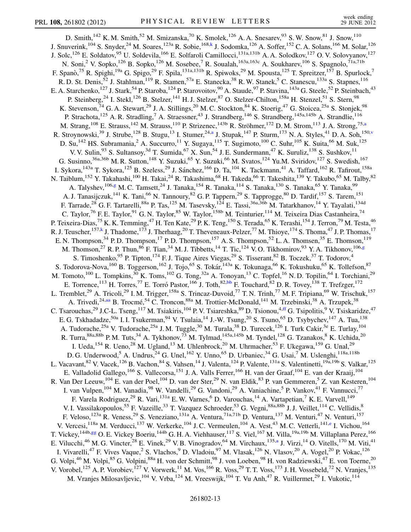<span id="page-12-1"></span><span id="page-12-0"></span>D. Smith,<sup>142</sup> K. M. Smith,<sup>52</sup> M. Smizanska,<sup>70</sup> K. Smolek,<sup>126</sup> A. A. Snesarev,<sup>93</sup> S. W. Snow,<sup>81</sup> J. Snow,<sup>110</sup> J. Snuverink,<sup>104</sup> S. Snyder,<sup>24</sup> M. Soares,<sup>123a</sup> R. Sobie,<sup>168[,k](#page-17-10)</sup> J. Sodomka,<sup>126</sup> A. Soffer,<sup>152</sup> C. A. Solans,<sup>166</sup> M. Solar,<sup>126</sup> J. Solc,<sup>126</sup> E. Soldatov,<sup>95</sup> U. Soldevila,<sup>166</sup> E. Solfaroli Camillocci,<sup>131a,131b</sup> A. A. Solodkov,<sup>127</sup> O. V. Solovyanov,<sup>127</sup> N. Soni,<sup>2</sup> V. Sopko,<sup>126</sup> B. Sopko,<sup>126</sup> M. Sosebee,<sup>7</sup> R. Soualah,<sup>163a,163c</sup> A. Soukharev,<sup>106</sup> S. Spagnolo,<sup>71a,71b</sup> F. Spanò,<sup>75</sup> R. Spighi,<sup>19a</sup> G. Spigo,<sup>29</sup> F. Spila,<sup>131a,131b</sup> R. Spiwoks,<sup>29</sup> M. Spousta,<sup>125</sup> T. Spreitzer,<sup>157</sup> B. Spurlock,<sup>7</sup> R. D. St. Denis,<sup>52</sup> J. Stahlman,<sup>119</sup> R. Stamen,<sup>57a</sup> E. Stanecka,<sup>38</sup> R. W. Stanek,<sup>5</sup> C. Stanescu,<sup>133a</sup> S. Stapnes,<sup>116</sup> E. A. Starchenko,<sup>127</sup> J. Stark,<sup>54</sup> P. Staroba,<sup>124</sup> P. Starovoitov,<sup>90</sup> A. Staude,<sup>97</sup> P. Stavina,<sup>143a</sup> G. Steele,<sup>52</sup> P. Steinbach,<sup>43</sup> P. Steinberg,<sup>24</sup> I. Stekl,<sup>126</sup> B. Stelzer,<sup>141</sup> H. J. Stelzer,<sup>87</sup> O. Stelzer-Chilton,<sup>158a</sup> H. Stenzel,<sup>51</sup> S. Stern,<sup>98</sup> K. Stevenson,<sup>74</sup> G. A. Stewart,<sup>29</sup> J. A. Stillings,<sup>20</sup> M. C. Stockton,<sup>84</sup> K. Stoerig,<sup>47</sup> G. Stoicea,<sup>25a</sup> S. Stonjek,<sup>98</sup> P. Strachota,<sup>125</sup> A. R. Stradling,<sup>7</sup> A. Straessner,<sup>43</sup> J. Strandberg,<sup>146</sup> S. Strandberg,<sup>145a,145b</sup> A. Strandlie,<sup>116</sup> M. Str[a](#page-17-3)ng,<sup>108</sup> E. Strauss,<sup>142</sup> M. Strauss,<sup>110</sup> P. Strizenec,<sup>143b</sup> R. Ströhmer,<sup>172</sup> D. M. Strom,<sup>113</sup> J. A. Strong,<sup>75,a</sup> R. Stroynowski,<sup>39</sup> J. Strube,<sup>128</sup> B. Stugu,<sup>13</sup> I. Stumer,<sup>24,[a](#page-17-3)</sup> J. Stupak,<sup>147</sup> P. Sturm,<sup>173</sup> N. A. Styles,<sup>41</sup> D. A. Soh,<sup>150[,v](#page-17-21)</sup> D. Su,<sup>142</sup> HS. Subramania,<sup>2</sup> A. Succurro,<sup>11</sup> Y. Sugaya,<sup>115</sup> T. Sugimoto,<sup>100</sup> C. Suhr,<sup>105</sup> K. Suita,<sup>66</sup> M. Suk,<sup>125</sup> V. V. Sulin, <sup>93</sup> S. Sultansoy, <sup>3d</sup> T. Sumida, <sup>67</sup> X. Sun, <sup>54</sup> J. E. Sundermann, <sup>47</sup> K. Suruliz, <sup>138</sup> S. Sushkov, <sup>11</sup> G. Susinno,<sup>36a,36b</sup> M. R. Sutton,<sup>148</sup> Y. Suzuki,<sup>65</sup> Y. Suzuki,<sup>66</sup> M. Svatos,<sup>124</sup> Yu.M. Sviridov,<sup>127</sup> S. Swedish,<sup>167</sup> I. Sykora,<sup>143a</sup> T. Sykora,<sup>125</sup> B. Szeless,<sup>29</sup> J. Sánchez,<sup>166</sup> D. Ta,<sup>104</sup> K. Tackmann,<sup>41</sup> A. Taffard,<sup>162</sup> R. Tafirout,<sup>158a</sup> N. Taiblum, <sup>152</sup> Y. Takahashi, <sup>100</sup> H. Takai, <sup>24</sup> R. Takashima, <sup>68</sup> H. Takeda, <sup>66</sup> T. Takeshita, <sup>139</sup> Y. Takubo, <sup>65</sup> M. Talby, <sup>82</sup> A. Talyshev,  $^{106,g}$  $^{106,g}$  $^{106,g}$  M. C. Tamsett,  $^{24}$  J. Tanaka,  $^{154}$  R. Tanaka,  $^{114}$  S. Tanaka,  $^{130}$  S. Tanaka,  $^{65}$  Y. Tanaka,  $^{99}$ A. J. Tanasijczuk,<sup>141</sup> K. Tani,<sup>66</sup> N. Tannoury,<sup>82</sup> G. P. Tappern,<sup>29</sup> S. Tapprogge,<sup>80</sup> D. Tardif,<sup>157</sup> S. Tarem,<sup>151</sup> F. Tarrade,<sup>28</sup> G. F. Tartarelli,<sup>88a</sup> P. Tas,<sup>125</sup> M. Tasevsky,<sup>124</sup> E. Tassi,<sup>36a,36b</sup> M. Tatarkhanov,<sup>14</sup> Y. Tayalati,<sup>134d</sup> C. Taylor,<sup>76</sup> F. E. Taylor,<sup>91</sup> G. N. Taylor,<sup>85</sup> W. Taylor,<sup>158b</sup> M. Teinturier,<sup>114</sup> M. Teixeira Dias Castanheira,<sup>74</sup> P. Teixeira-Dias,<sup>75</sup> K. K. Temming,<sup>47</sup> H. Ten Kate,<sup>29</sup> P. K. Teng,<sup>150</sup> S. Terada,<sup>65</sup> K. Terashi,<sup>154</sup> J. Terron,<sup>79</sup> M. Testa,<sup>46</sup> R. J. Teuscher, <sup>157,[k](#page-17-10)</sup> J. Thadome, <sup>173</sup> J. Therhaag, <sup>20</sup> T. Theveneaux-Pelzer, <sup>77</sup> M. Thioye, <sup>174</sup> S. Thoma, <sup>47</sup> J. P. Thomas, <sup>17</sup> E. N. Thompson,<sup>34</sup> P. D. Thompson,<sup>17</sup> P. D. Thompson,<sup>157</sup> A. S. Thompson,<sup>52</sup> L. A. Thomsen,<sup>35</sup> E. Thomson,<sup>119</sup> M. Thomson,<sup>27</sup> R. P. Thun,<sup>86</sup> F. Tian,<sup>34</sup> M. J. Tibbetts,<sup>14</sup> T. Tic,<sup>124</sup> V. O. Tikhomirov,<sup>93</sup> Y. A. Tikhonov,<sup>106,[g](#page-17-6)</sup> S. Timoshenko,<sup>95</sup> P. Tipton,<sup>174</sup> F. J. Tique Aires Viegas,<sup>29</sup> S. Tisserant,<sup>82</sup> B. Toczek,<sup>37</sup> T. Todorov,<sup>4</sup> S. Todorova-Nova,<sup>160</sup> B. Toggerson,<sup>162</sup> J. Tojo,<sup>65</sup> S. Tokár,<sup>143a</sup> K. Tokunaga,<sup>66</sup> K. Tokushuku,<sup>65</sup> K. Tollefson,<sup>87</sup> M. Tomoto,<sup>100</sup> L. Tompkins,<sup>30</sup> K. Toms,<sup>102</sup> G. Tong,<sup>32a</sup> A. Tonoyan,<sup>13</sup> C. Topfel,<sup>16</sup> N.D. Topilin,<sup>64</sup> I. Torchiani,<sup>29</sup> E. Torrence,<sup>113</sup> H. Torres,<sup>77</sup> E. Torró Pastor,<sup>166</sup> J. Toth,<sup>82,[bb](#page-17-27)</sup> F. Touchard,<sup>82</sup> D. R. Tovey,<sup>138</sup> T. Trefzger,<sup>172</sup> L. Tremblet,<sup>29</sup> A. Tricoli,<sup>29</sup> I. M. Trigger,<sup>158a</sup> S. Trincaz-Duvoid,<sup>77</sup> T. N. Trinh,<sup>77</sup> M. F. Tripiana,<sup>69</sup> W. Trischuk,<sup>157</sup> A. Trivedi,<sup>24,[aa](#page-17-26)</sup> B. Trocmé,<sup>54</sup> C. Troncon,<sup>88a</sup> M. Trottier-McDonald,<sup>141</sup> M. Trzebinski,<sup>38</sup> A. Trzupek,<sup>38</sup> C. Tsarouchas,<sup>29</sup> J.C-L. Tseng,<sup>117</sup> M. Tsiakiris,<sup>104</sup> P. V. Tsiareshka,<sup>89</sup> D. Tsionou,<sup>4[,ff](#page-17-31)</sup> G. Tsipolitis,<sup>9</sup> V. Tsiskaridze,<sup>47</sup> E. G. Tskhadadze,<sup>50a</sup> I. I. Tsukerman,<sup>94</sup> V. Tsulaia,<sup>14</sup> J.-W. Tsung,<sup>20</sup> S. Tsuno,<sup>65</sup> D. Tsybychev,<sup>147</sup> A. Tua,<sup>138</sup> A. Tudorache,<sup>25a</sup> V. Tudorache,<sup>25a</sup> J. M. Tuggle,<sup>30</sup> M. Turala,<sup>38</sup> D. Turecek,<sup>126</sup> I. Turk Cakir,<sup>3e</sup> E. Turlay,<sup>104</sup> R. Turra,  $88a,88b$  P. M. Tuts,  $34$  A. Tykhonov,  $73$  M. Tylmad,  $145a,145b$  M. Tyndel,  $128$  G. Tzanakos,  $8$  K. Uchida,  $20$ I. Ueda,<sup>154</sup> R. Ueno,<sup>28</sup> M. Ugland,<sup>13</sup> M. Uhlenbrock,<sup>20</sup> M. Uhrmacher,<sup>53</sup> F. Ukegawa,<sup>159</sup> G. Unal,<sup>29</sup> D. G. Underwood,<sup>5</sup> A. Undrus,<sup>24</sup> G. Unel,<sup>162</sup> Y. Unno,<sup>65</sup> D. Urbaniec,<sup>34</sup> G. Usai,<sup>7</sup> M. Uslenghi,<sup>118a,118b</sup> L. Vacavant, <sup>82</sup> V. Vacek, <sup>126</sup> B. Vachon, <sup>84</sup> S. Vahsen, <sup>14</sup> J. Valenta, <sup>124</sup> P. Valente, <sup>131a</sup> S. Valentinetti, <sup>19a, 19b</sup> S. Valkar, <sup>125</sup> E. Valladolid Gallego,<sup>166</sup> S. Vallecorsa,<sup>151</sup> J. A. Valls Ferrer,<sup>166</sup> H. van der Graaf,<sup>104</sup> E. van der Kraaij,<sup>104</sup> R. Van Der Leeuw,<sup>104</sup> E. van der Poel,<sup>104</sup> D. van der Ster,<sup>29</sup> N. van Eldik,<sup>83</sup> P. van Gemmeren,<sup>5</sup> Z. van Kesteren,<sup>104</sup> I. van Vulpen, <sup>104</sup> M. Vanadia, <sup>98</sup> W. Vandelli, <sup>29</sup> G. Vandoni, <sup>29</sup> A. Vaniachine, <sup>5</sup> P. Vankov, <sup>41</sup> F. Vannucci, <sup>77</sup> F. Varela Rodriguez,<sup>29</sup> R. Vari,<sup>131a</sup> E. W. Varnes,<sup>6</sup> D. Varouchas,<sup>14</sup> A. Vartapetian,<sup>7</sup> K. E. Varvell,<sup>149</sup> V. I. Vassilakopoulos,<sup>55</sup> F. Vazeille,<sup>33</sup> T. Vazquez Schroeder,<sup>53</sup> G. Vegni,<sup>88a,88b</sup> J. J. Veillet,<sup>114</sup> C. Vellidis,<sup>8</sup> F. Veloso,<sup>123a</sup> R. Veness,<sup>29</sup> S. Veneziano,<sup>131a</sup> A. Ventura,<sup>71a,71b</sup> D. Ventura,<sup>137</sup> M. Venturi,<sup>47</sup> N. Venturi,<sup>157</sup> V. V[e](#page-17-4)rcesi,<sup>118a</sup> M. Verducci,<sup>137</sup> W. Verkerke,<sup>104</sup> J.C. Vermeulen,<sup>104</sup> A. Vest,<sup>43</sup> M.C. Vetterli,<sup>141,e</sup> I. Vichou,<sup>164</sup> T. Vickey, <sup>144b,[gg](#page-17-32)</sup> O. E. Vickey Boeriu, <sup>144b</sup> G. H. A. Viehhauser, <sup>117</sup> S. Viel, <sup>167</sup> M. Villa, <sup>19a, 19b</sup> M. Villaplana Perez, <sup>166</sup> E. Vilucchi, <sup>46</sup> M. G. Vincter, <sup>28</sup> E. Vinek, <sup>29</sup> V. B. Vinogradov, <sup>64</sup> M. Virchaux, <sup>135[,a](#page-17-3)</sup> J. Virzi, <sup>14</sup> O. Vitells, <sup>170</sup> M. Viti, <sup>41</sup> I. Vivarelli,<sup>47</sup> F. Vives Vaque,<sup>2</sup> S. Vlachos,<sup>9</sup> D. Vladoiu,<sup>97</sup> M. Vlasak,<sup>126</sup> N. Vlasov,<sup>20</sup> A. Vogel,<sup>20</sup> P. Vokac,<sup>126</sup> G. Volpi,<sup>46</sup> M. Volpi,<sup>85</sup> G. Volpini,<sup>88a</sup> H. von der Schmitt,<sup>98</sup> J. von Loeben,<sup>98</sup> H. von Radziewski,<sup>47</sup> E. von Toerne,<sup>20</sup> V. Vorobel,<sup>125</sup> A. P. Vorobiev,<sup>127</sup> V. Vorwerk,<sup>11</sup> M. Vos,<sup>166</sup> R. Voss,<sup>29</sup> T. T. Voss,<sup>173</sup> J. H. Vossebeld,<sup>72</sup> N. Vranjes,<sup>135</sup> M. Vranjes Milosavljevic, <sup>104</sup> V. Vrba, <sup>124</sup> M. Vreeswijk, <sup>104</sup> T. Vu Anh, <sup>47</sup> R. Vuillermet, <sup>29</sup> I. Vukotic, <sup>114</sup>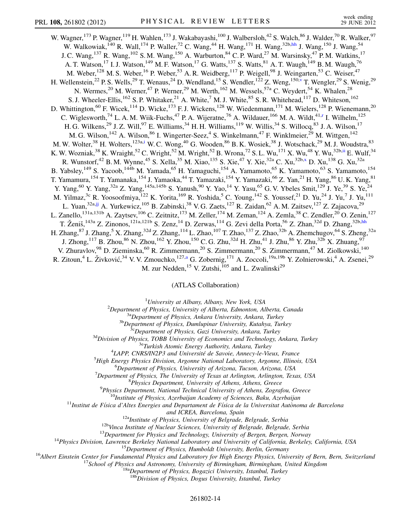<span id="page-13-1"></span>W. Wagner,<sup>173</sup> P. Wagner,<sup>119</sup> H. Wahlen,<sup>173</sup> J. Wakabayashi,<sup>100</sup> J. Walbersloh,<sup>42</sup> S. Walch,<sup>86</sup> J. Walder,<sup>70</sup> R. Walker,<sup>97</sup> W. Walkowiak,<sup>140</sup> R. Wall,<sup>174</sup> P. Waller,<sup>72</sup> C. Wang,<sup>44</sup> H. Wang,<sup>171</sup> H. Wang,<sup>32b[,hh](#page-17-33)</sup> J. Wang,<sup>150</sup> J. Wang,<sup>54</sup> J. C. Wang,<sup>137</sup> R. Wang,<sup>102</sup> S. M. Wang,<sup>150</sup> A. Warburton,<sup>84</sup> C. P. Ward,<sup>27</sup> M. Warsinsky,<sup>47</sup> P. M. Watkins,<sup>17</sup> A. T. Watson,<sup>17</sup> I. J. Watson,<sup>149</sup> M. F. Watson,<sup>17</sup> G. Watts,<sup>137</sup> S. Watts,<sup>81</sup> A. T. Waugh,<sup>149</sup> B. M. Waugh,<sup>76</sup> M. Weber,<sup>128</sup> M. S. Weber,<sup>16</sup> P. Weber,<sup>53</sup> A. R. Weidberg,<sup>117</sup> P. Weigell,<sup>98</sup> J. Weingarten,<sup>53</sup> C. Weiser,<sup>47</sup> H. Wellenstein,<sup>22</sup> P. S. Wells,<sup>29</sup> T. Wenaus,<sup>24</sup> D. Wendland,<sup>15</sup> S. Wendler,<sup>122</sup> Z. Weng,<sup>150,[v](#page-17-21)</sup> T. Wengler,<sup>29</sup> S. Wenig,<sup>29</sup> N. Wermes,  $^{20}$  M. Werner,  $^{47}$  P. Werner,  $^{29}$  M. Werth,  $^{162}$  M. Wessels,  $^{57a}$  C. Weydert,  $^{54}$  K. Whalen,  $^{28}$ S. J. Wheeler-Ellis,<sup>162</sup> S. P. Whitaker,<sup>21</sup> A. White,<sup>7</sup> M. J. White,<sup>85</sup> S. R. Whitehead,<sup>117</sup> D. Whiteson,<sup>162</sup> D. Whittington,<sup>60</sup> F. Wicek,<sup>114</sup> D. Wicke,<sup>173</sup> F. J. Wickens,<sup>128</sup> W. Wiedenmann,<sup>171</sup> M. Wielers,<sup>128</sup> P. Wienemann,<sup>20</sup> C. Wiglesworth,<sup>74</sup> L. A. M. Wiik-Fuchs,<sup>47</sup> P. A. Wijeratne,<sup>76</sup> A. Wildauer,<sup>166</sup> M. A. Wildt,<sup>41[,r](#page-17-17)</sup> I. Wilhelm,<sup>125</sup> H. G. Wilkens,<sup>29</sup> J. Z. Will,<sup>97</sup> E. Williams,<sup>34</sup> H. H. Williams,<sup>119</sup> W. Willis,<sup>34</sup> S. Willocq,<sup>83</sup> J. A. Wilson,<sup>17</sup> M. G. Wilson,<sup>142</sup> A. Wilson,<sup>86</sup> I. Wingerter-Seez,<sup>4</sup> S. Winkelmann,<sup>47</sup> F. Winklmeier,<sup>29</sup> M. Wittgen,<sup>142</sup> M. W. Wolter,<sup>38</sup> H. Wolters,<sup>123a[,i](#page-17-8)</sup> W. C. Wong,<sup>40</sup> G. Wooden,<sup>86</sup> B. K. Wosiek,<sup>38</sup> J. Wotschack,<sup>29</sup> M. J. Woudstra,<sup>83</sup> K. W. Wozniak, $^{38}$  K. Wraight, $^{52}$  C. Wright, $^{52}$  M. Wright, $^{52}$  B. Wrona, $^{72}$  S. L. Wu, $^{171}$  X. Wu, $^{48}$  Y. Wu, $^{32b,ii}$  $^{32b,ii}$  $^{32b,ii}$  E. Wulf, $^{34}$ R. Wunstorf,<sup>42</sup> B. M. Wynne,<sup>45</sup> S. Xella,<sup>35</sup> M. Xiao,<sup>135</sup> S. Xie,<sup>47</sup> Y. Xie,<sup>32a</sup> C. Xu,<sup>32b[,x](#page-17-23)</sup> D. Xu,<sup>138</sup> G. Xu,<sup>32a</sup> B. Yabsley, <sup>149</sup> S. Yacoob, <sup>144b</sup> M. Yamada, <sup>65</sup> H. Yamaguchi, <sup>154</sup> A. Yamamoto, <sup>65</sup> K. Yamamoto, <sup>63</sup> S. Yamamoto, <sup>154</sup> T. Yamamura,<sup>154</sup> T. Yamanaka,<sup>154</sup> J. Yamaoka,<sup>44</sup> T. Yamazaki,<sup>154</sup> Y. Yamazaki,<sup>66</sup> Z. Yan,<sup>21</sup> H. Yang,<sup>86</sup> U. K. Yang,<sup>81</sup> Y. Yang,<sup>60</sup> Y. Yang,<sup>32a</sup> Z. Yang,<sup>145a,145b</sup> S. Yanush,<sup>90</sup> Y. Yao,<sup>14</sup> Y. Yasu,<sup>65</sup> G. V. Ybeles Smit,<sup>129</sup> J. Ye,<sup>39</sup> S. Ye,<sup>24</sup> M. Yilmaz,<sup>3c</sup> R. Yoosoofmiya,<sup>122</sup> K. Yorita,<sup>169</sup> R. Yoshida,<sup>5</sup> C. Young,<sup>142</sup> S. Youssef,<sup>21</sup> D. Yu,<sup>24</sup> J. Yu,<sup>7</sup> J. Yu,<sup>111</sup> L. Yuan,<sup>32a,[jj](#page-17-35)</sup> A. Yurkewicz,<sup>105</sup> B. Zabinski,<sup>38</sup> V. G. Zaets,<sup>127</sup> R. Zaidan,<sup>62</sup> A. M. Zaitsev,<sup>127</sup> Z. Zajacova,<sup>29</sup> L. Zanello,<sup>131a,131b</sup> A. Zaytsev,<sup>106</sup> C. Zeitnitz,<sup>173</sup> M. Zeller,<sup>174</sup> M. Zeman,<sup>124</sup> A. Zemla,<sup>38</sup> C. Zendler,<sup>20</sup> O. Zenin,<sup>127</sup> T. Ženiš,<sup>143a</sup> Z. Zinonos,<sup>121a,121b</sup> S. Zenz,<sup>14</sup> D. Zerwas,<sup>114</sup> G. Zevi della Porta,<sup>56</sup> Z. Zhan,<sup>32d</sup> D. Zhang,<sup>32b,[hh](#page-17-33)</sup> H. Zhang, $^{87}$  J. Zhang, $^5$  X. Zhang, $^{32d}$  Z. Zhang, $^{114}$  L. Zhao, $^{107}$  T. Zhao, $^{137}$  Z. Zhao, $^{32b}$  A. Zhemchugov, $^{64}$  S. Zheng, $^{32a}$ J. Zhong,<sup>117</sup> B. Zhou,<sup>86</sup> N. Zhou,<sup>162</sup> Y. Zhou,<sup>150</sup> C. G. Zhu,<sup>32d</sup> H. Zhu,<sup>41</sup> J. Zhu,<sup>86</sup> Y. Zhu,<sup>32b</sup> X. Zhuang,<sup>97</sup> V. Zhuravlov,<sup>98</sup> D. Zieminska,<sup>60</sup> R. Zimmermann,<sup>20</sup> S. Zimmermann,<sup>20</sup> S. Zimmermann,<sup>47</sup> M. Ziolkowski,<sup>140</sup> R. Zitoun,<sup>4</sup> L. Živković,<sup>34</sup> V. V. Zmouchko,<sup>127,[a](#page-17-3)</sup> G. Zobernig,<sup>171</sup> A. Zoccoli,<sup>19a,19b</sup> Y. Zolnierowski,<sup>4</sup> A. Zsenei,<sup>29</sup> M. zur Nedden,  $^{15}$  V. Zutshi,  $^{105}$  and L. Zwalinski<sup>29</sup>

(ATLAS Collaboration)

<span id="page-13-2"></span><sup>1</sup>University at Albany, Albany, New York, USA<sup>2</sup><br>Penartmant of Physics, University of Albarta, Edmonton, Al

<span id="page-13-0"></span><sup>2</sup>Department of Physics, University of Alberta, Edmonton, Alberta, Canada<sup>3a</sup>Department of Physics, Ankara University, Ankara, Turkey<sup>3b</sup>Department of Physics, Dumlupinar University, Kutahya, Turkey<sup>36</sup>Department of Phys

<sup>4</sup>LAPP, CNRS/IN2P3 and Université de Savoie, Annecy-le-Vieux, France

 ${}^{5}$ High Energy Physics Division, Argonne National Laboratory, Argonne, Illinois, USA

 ${}^{6}$ Department of Physics, University of Arizona, Tucson, Arizona, USA

<sup>7</sup>Department of Physics, The University of Texas at Arlington, Arlington, Texas, USA  $8$ Physics Department, University of Athens, Athens, Greece

 $^{9}$ Physics Department, National Technical University of Athens, Zografou, Greece

<sup>10</sup>Institute of Physics, Azerbaijan Academy of Sciences, Baku, Azerbaijan<br><sup>11</sup>Institut de Física d'Altes Energies and Departament de Física de la Universitat Autònoma de Barcelona

and ICREA, Barcelona, Spain<br><sup>12a</sup>Institute of Physics, University of Belgrade, Belgrade, Serbia<br><sup>12b</sup>Vinca Institute of Nuclear Sciences, University of Belgrade, Belgrade, Serbia<br><sup>13</sup>Department for Physics and Technology,

 $18b$ Division of Physics, Dogus University, Istanbul, Turkey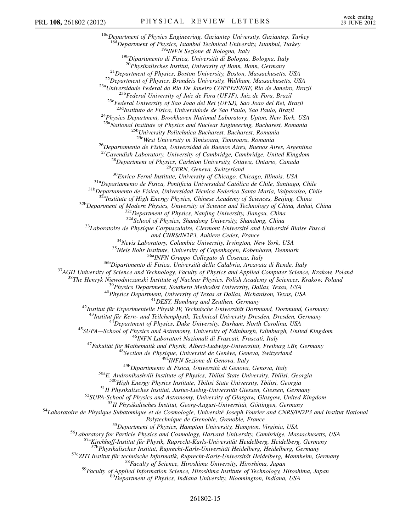<sup>18c</sup>Department of Physics Engineering, Gaziantep University, Gaziantep, Turkey<br><sup>18d</sup>Department of Physics, Istanbul Technical University, Istanbul, Turkey <sup>19b</sup>Dipartimento di Fisica, Università di Bologna, Bologna, Italy<br><sup>19b</sup>Dipartimento di Fisica, Università di Bologna, Bologna, Italy<br><sup>20</sup>Physikalisches Institut, University of Bonn, Bonn, Germany<br><sup>21</sup>Department of Physic <sup>24</sup>Physics Department, Brookhaven National Laboratory, Upton, New York, USA <sup>25a</sup>National Institute of Physics and Nuclear Engineering, Bucharest, Romania<br><sup>25b</sup>University Politehnica Bucharest, Bucharest, Romania<br><sup>25c</sup>West University in Timisoara, Timisoara, Romania <sup>26</sup>Departamento de Física, Universidad de Buenos Aires, Buenos Aires, Argentina<br><sup>27</sup>Cavendish Laboratory, University of Cambridge, Cambridge, United Kingdom<br><sup>28</sup>Department of Physics, Carleton University, Ottawa, Ontario and CNRSJIN2P3, Aubiere Cedex, France<br>
<sup>34</sup>Nevis Laboratory, Columbia University, Irvington, New York, USA<br>
<sup>35</sup>Niels Bohr Institute, University of Copenhagen, Kobenhavn, Denmark<br>
<sup>36</sup>Niels Bohr Institute, University of C <sup>50a</sup>E. Andronikashvili Institute of Physics, Tbilisi State University, Tbilisi, Georgia<br><sup>50b</sup>High Energy Physics Institute, Tbilisi State University, Tbilisi, Georgia<br><sup>51</sup>II Physikalisches Institut, Justus-Liebig-Univers Folytechnique de Grenoble, Grenoble, France<br>
<sup>55</sup>Department of Physics, Hampton University, Hampton, Virginia, USA<br>
<sup>56</sup>Laboratory for Particle Physics and Cosmology, Harvard University, Cambridge, Massachusetts, USA<br>
<sup>57a</sup>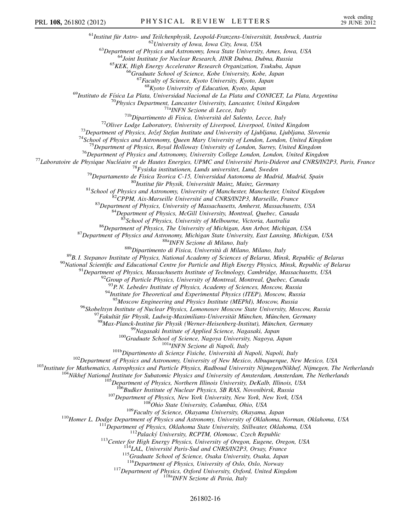<sup>61</sup>Institut für Astro- und Teilchenphysik, Leopold-Franzens-Universität, Innsbruck, Austria<br><sup>62</sup>University of Iowa, Iowa City, Iowa, USA<br><sup>63</sup>Department of Physics and Astronomy, Iowa State University, Ames, Iowa, USA<br><sup>64</sup> <sup>69</sup>Instituto de Física La Plata, Universidad Nacional de La Plata and CONICET, La Plata, Argentina<br><sup>70</sup>Physics Department, Lancaster University, Lancaster, United Kingdom <sup>70</sup>Physics Department, Lancaster University, Lancaster, United Kingdom<br>
<sup>71</sup><sup>to</sup>Physics Departmento di Fisica, Università del Salento, Lecce, Italy<br>
<sup>71</sup> Dipartimento di Fisica, Università del Salento, Lecce, Italy<br>
<sup>72</sup> <sup>85</sup>School of Physics, University of Melbourne, Victoria, Australia<br><sup>86</sup>Department of Physics, The University of Michigan, Ann Arbor, Michigan, USA<br><sup>87</sup>Department of Physics and Astronomy, Michigan State University, East L <sup>94</sup>Institute for Theoretical and Experimental Physics (ITEP), Moscow, Russia  $^{95}$ Moscow Engineering and Physics Institute (MEPhI), Moscow, Russia <sup>95</sup>Moscow Engineering and Physics Institute (MEPhI), Moscow, Russia<br>
<sup>95</sup>Moscow Engineering and Physics, Lomonosov Moscow State University, Moscow, Russia<br>
<sup>97</sup> Fakultidi für Physik, Ludwig-Maximilians-Universität München <sup>115</sup>Graduate School of Science, Osaka University, Osaka, Japan<br><sup>116</sup>Department of Physics, University of Oslo, Oslo, Norway<br><sup>117</sup>Department of Physics, Oxford University, Oxford, United Kingdom<br><sup>118a</sup>INFN Sezione di Pavi 261802-16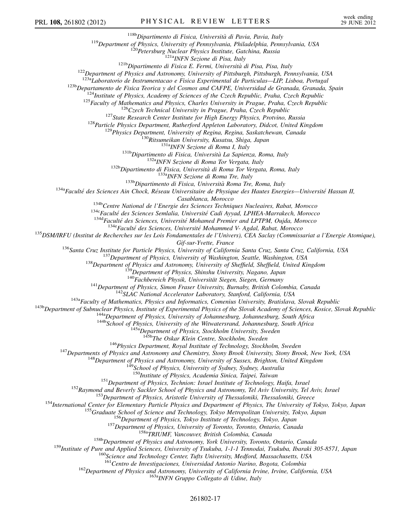<sup>118b</sup>Dipartimento di Fisica, Università di Pavia, Pavia, Italy<br><sup>119</sup>Department of Physics, University of Pennsylvania, Philadelphia, Pennsylvania, USA<br><sup>120</sup>Petersburg Nuclear Physics Institute, Gatchina, Russia<br><sup>121b</sup>Dip

<sup>123a</sup>Laboratorio de Instrumentacao e Fisica Experimental de Particulas—LIP, Lisboa, Portugal<br>
<sup>123</sup>h Departamento de Fisica Teorica y del Cosmos and CAFPE, Universidad de Granada, Granada, Spain<br>
<sup>124</sup>Institute of Physic

Casablanca, Morocco<br><sup>134b</sup>Centre National de l'Energie des Sciences Techniques Nucleaires, Rabat, Morocco<br><sup>134c</sup>Faculté des Sciences Semlalia, Université Cadi Ayyad, LPHEA-Marrakech, Morocco<br><sup>134d</sup>Faculté des Sciences, Uni

Gif-sur-Yvette, France<br>
<sup>136</sup>Santa Cruz, Institute for Particle Physics, University of California Santa Cruz, Santa Cruz, California, USA<br>
<sup>137</sup>Department of Physics, University of Washington, Seattle, Washington, USA<br>
<sup>13</sup>

<sup>145b</sup>The Oskar Klein Centre, Stockholm, Sweden<br><sup>146</sup>Physics Department, Royal Institute of Technology, Stockholm, Sweden<br><sup>147</sup>Departments of Physics and Astronomy and Chemistry, Stony Brook University, Stony Brook, New Y

<sup>150</sup>Institute of Physics, Academia Sinica, Taipei, Taiwan<br><sup>151</sup>Department of Physics, Technion: Israel Institute of Technology, Haifa, Israel<br><sup>152</sup>Raymond and Beverly Sackler School of Physics and Astronomy, Tel Aviv Univ

<sup>160</sup>Science and Technology Center, Tufts University, Medford, Massachusetts, USA<br><sup>161</sup>Centro de Investigaciones, Universidad Antonio Narino, Bogota, Colombia<br><sup>162</sup>Department of Physics and Astronomy, University of Califo